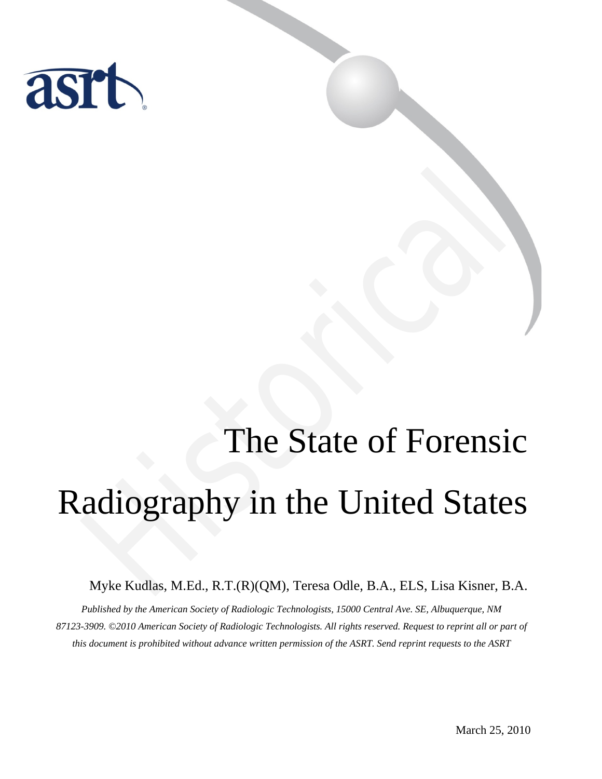

# The State of Forensic Radiography in the United States The State of Forensic<br>adiography in the United State<br>Myke Kudlas, M.Ed., R.T.(R)(QM), Teresa Odle, B.A., ELS, Lisa Kisner, B.

Myke Kudlas, M.Ed., R.T.(R)(QM), Teresa Odle, B.A., ELS, Lisa Kisner, B.A.

*Published by the American Society of Radiologic Technologists, 15000 Central Ave. SE, Albuquerque, NM 87123-3909. ©2010 American Society of Radiologic Technologists. All rights reserved. Request to reprint all or part of this document is prohibited without advance written permission of the ASRT. Send reprint requests to the ASRT*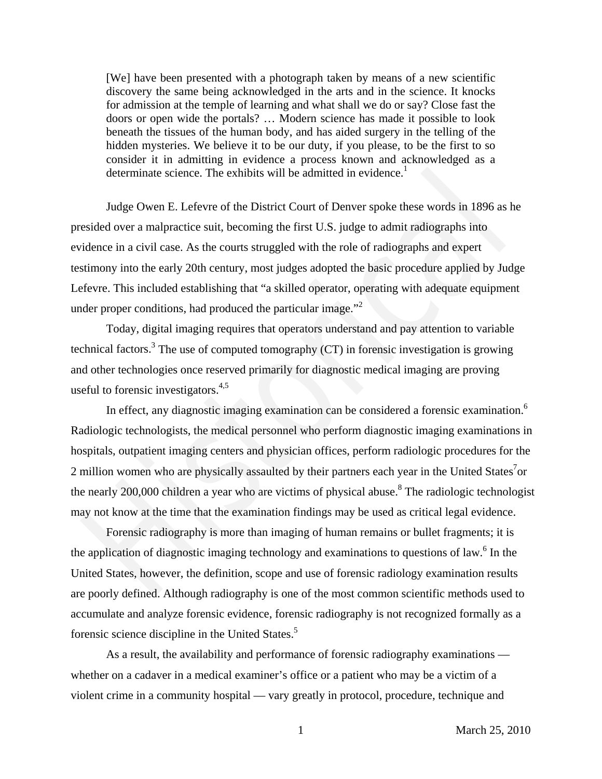[We] have been presented with a photograph taken by means of a new scientific discovery the same being acknowledged in the arts and in the science. It knocks for admission at the temple of learning and what shall we do or say? Close fast the doors or open wide the portals? … Modern science has made it possible to look beneath the tissues of the human body, and has aided surgery in the telling of the hidden mysteries. We believe it to be our duty, if you please, to be the first to so consider it in admitting in evidence a process known and acknowledged as a determinate science. The exhibits will be admitted in evidence.<sup>1</sup>

Judge Owen E. Lefevre of the District Court of Denver spoke these words in 1896 as he presided over a malpractice suit, becoming the first U.S. judge to admit radiographs into evidence in a civil case. As the courts struggled with the role of radiographs and expert testimony into the early 20th century, most judges adopted the basic procedure applied by Judge Lefevre. This included establishing that "a skilled operator, operating with adequate equipment under proper conditions, had produced the particular image."<sup>2</sup>

Today, digital imaging requires that operators understand and pay attention to variable technical factors.<sup>3</sup> The use of computed tomography  $(CT)$  in forensic investigation is growing and other technologies once reserved primarily for diagnostic medical imaging are proving useful to forensic investigators.<sup>4,5</sup>

In effect, any diagnostic imaging examination can be considered a forensic examination.6 Radiologic technologists, the medical personnel who perform diagnostic imaging examinations in hospitals, outpatient imaging centers and physician offices, perform radiologic procedures for the 2 million women who are physically assaulted by their partners each year in the United States<sup>7</sup>or the nearly 200,000 children a year who are victims of physical abuse.<sup>8</sup> The radiologic technologist may not know at the time that the examination findings may be used as critical legal evidence. determinate science. The exhibits will be admitted in evidence.<sup>1</sup><br>Judge Owen E. Lefevre of the District Court of Denver spoke these words in 1896 as hesided over a malpractice suit, becoming the first U.S. judge to admit

Forensic radiography is more than imaging of human remains or bullet fragments; it is the application of diagnostic imaging technology and examinations to questions of law.<sup>6</sup> In the United States, however, the definition, scope and use of forensic radiology examination results are poorly defined. Although radiography is one of the most common scientific methods used to accumulate and analyze forensic evidence, forensic radiography is not recognized formally as a forensic science discipline in the United States.<sup>5</sup>

As a result, the availability and performance of forensic radiography examinations whether on a cadaver in a medical examiner's office or a patient who may be a victim of a violent crime in a community hospital — vary greatly in protocol, procedure, technique and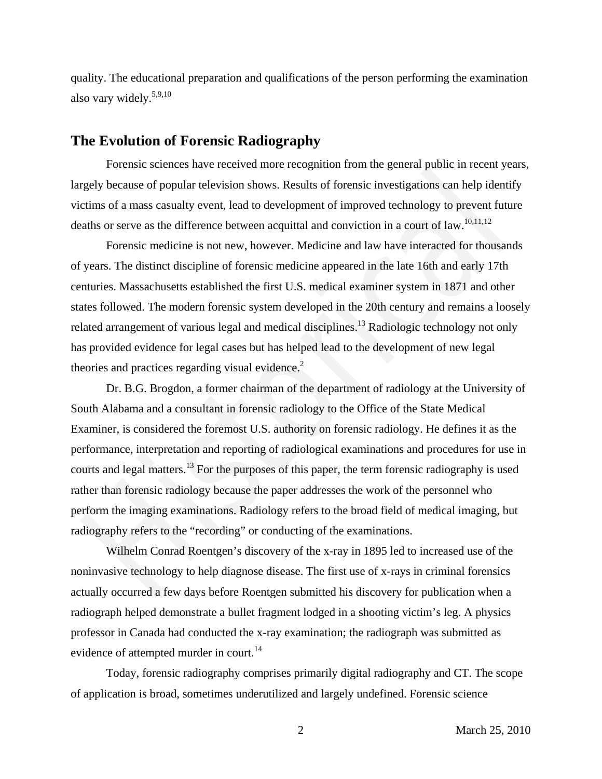quality. The educational preparation and qualifications of the person performing the examination also vary widely.5,9,10

# **The Evolution of Forensic Radiography**

Forensic sciences have received more recognition from the general public in recent years, largely because of popular television shows. Results of forensic investigations can help identify victims of a mass casualty event, lead to development of improved technology to prevent future deaths or serve as the difference between acquittal and conviction in a court of law.<sup>10,11,12</sup>

Forensic medicine is not new, however. Medicine and law have interacted for thousands of years. The distinct discipline of forensic medicine appeared in the late 16th and early 17th centuries. Massachusetts established the first U.S. medical examiner system in 1871 and other states followed. The modern forensic system developed in the 20th century and remains a loosely related arrangement of various legal and medical disciplines.<sup>13</sup> Radiologic technology not only has provided evidence for legal cases but has helped lead to the development of new legal theories and practices regarding visual evidence. $2$ 

Dr. B.G. Brogdon, a former chairman of the department of radiology at the University of South Alabama and a consultant in forensic radiology to the Office of the State Medical Examiner, is considered the foremost U.S. authority on forensic radiology. He defines it as the performance, interpretation and reporting of radiological examinations and procedures for use in courts and legal matters.<sup>13</sup> For the purposes of this paper, the term forensic radiography is used rather than forensic radiology because the paper addresses the work of the personnel who perform the imaging examinations. Radiology refers to the broad field of medical imaging, but radiography refers to the "recording" or conducting of the examinations. Forensic sciences have received more recognition from the general public in recent year<br>gely because of popular television shows. Results of forensic investigations can help identif<br>times of a mass casuality event, lead to

Wilhelm Conrad Roentgen's discovery of the x-ray in 1895 led to increased use of the noninvasive technology to help diagnose disease. The first use of x-rays in criminal forensics actually occurred a few days before Roentgen submitted his discovery for publication when a radiograph helped demonstrate a bullet fragment lodged in a shooting victim's leg. A physics professor in Canada had conducted the x-ray examination; the radiograph was submitted as evidence of attempted murder in court.<sup>14</sup>

Today, forensic radiography comprises primarily digital radiography and CT. The scope of application is broad, sometimes underutilized and largely undefined. Forensic science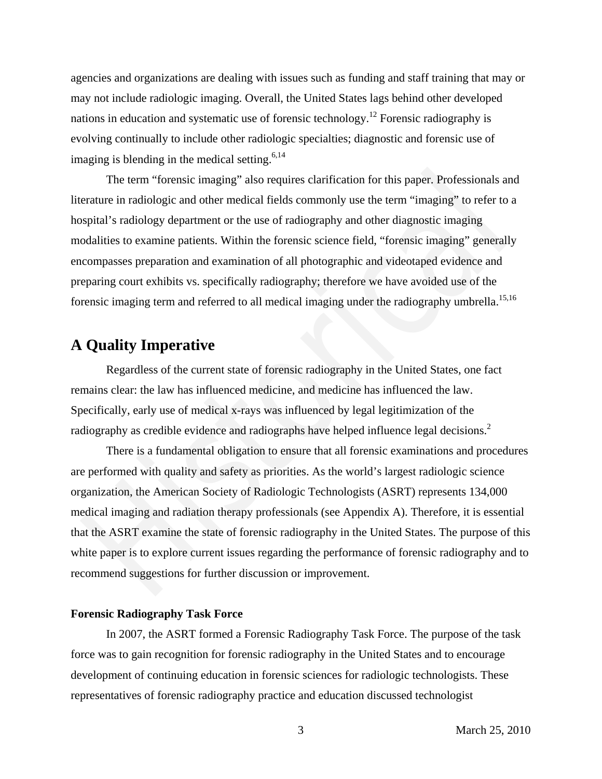agencies and organizations are dealing with issues such as funding and staff training that may or may not include radiologic imaging. Overall, the United States lags behind other developed nations in education and systematic use of forensic technology.<sup>12</sup> Forensic radiography is evolving continually to include other radiologic specialties; diagnostic and forensic use of imaging is blending in the medical setting.  $6,14$ 

The term "forensic imaging" also requires clarification for this paper. Professionals and literature in radiologic and other medical fields commonly use the term "imaging" to refer to a hospital's radiology department or the use of radiography and other diagnostic imaging modalities to examine patients. Within the forensic science field, "forensic imaging" generally encompasses preparation and examination of all photographic and videotaped evidence and preparing court exhibits vs. specifically radiography; therefore we have avoided use of the forensic imaging term and referred to all medical imaging under the radiography umbrella.<sup>15,16</sup> The term "forensic imaging" also requires clarification for this paper. Professionals and<br>rature in radiologic and other medical fields commonly use the term "imaging" to refer to a<br>spital's radiologic and other medical fi

# **A Quality Imperative**

Regardless of the current state of forensic radiography in the United States, one fact remains clear: the law has influenced medicine, and medicine has influenced the law. Specifically, early use of medical x-rays was influenced by legal legitimization of the radiography as credible evidence and radiographs have helped influence legal decisions.<sup>2</sup>

There is a fundamental obligation to ensure that all forensic examinations and procedures are performed with quality and safety as priorities. As the world's largest radiologic science organization, the American Society of Radiologic Technologists (ASRT) represents 134,000 medical imaging and radiation therapy professionals (see Appendix A). Therefore, it is essential that the ASRT examine the state of forensic radiography in the United States. The purpose of this white paper is to explore current issues regarding the performance of forensic radiography and to recommend suggestions for further discussion or improvement.

# **Forensic Radiography Task Force**

In 2007, the ASRT formed a Forensic Radiography Task Force. The purpose of the task force was to gain recognition for forensic radiography in the United States and to encourage development of continuing education in forensic sciences for radiologic technologists. These representatives of forensic radiography practice and education discussed technologist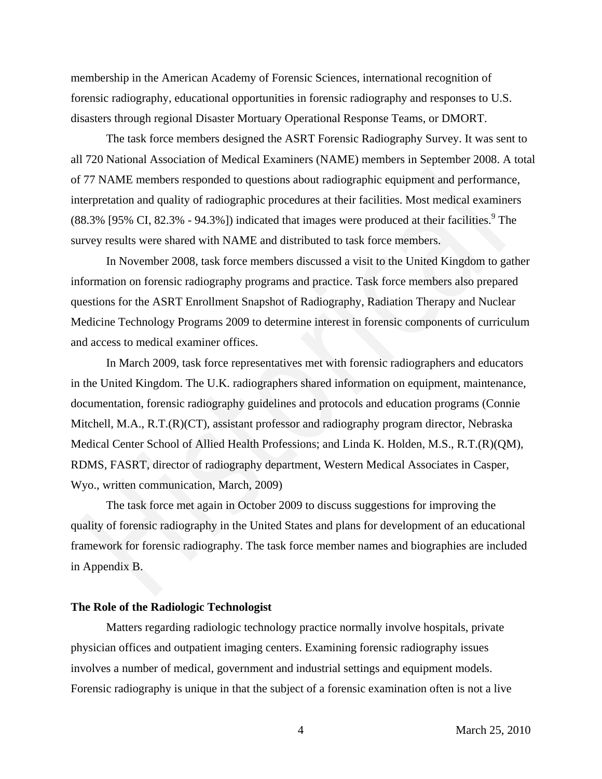membership in the American Academy of Forensic Sciences, international recognition of forensic radiography, educational opportunities in forensic radiography and responses to U.S. disasters through regional Disaster Mortuary Operational Response Teams, or DMORT.

The task force members designed the ASRT Forensic Radiography Survey. It was sent to all 720 National Association of Medical Examiners (NAME) members in September 2008. A total of 77 NAME members responded to questions about radiographic equipment and performance, interpretation and quality of radiographic procedures at their facilities. Most medical examiners  $(88.3\%$  [95% CI, 82.3% - 94.3%]) indicated that images were produced at their facilities.<sup>9</sup> The survey results were shared with NAME and distributed to task force members.

In November 2008, task force members discussed a visit to the United Kingdom to gather information on forensic radiography programs and practice. Task force members also prepared questions for the ASRT Enrollment Snapshot of Radiography, Radiation Therapy and Nuclear Medicine Technology Programs 2009 to determine interest in forensic components of curriculum and access to medical examiner offices.

In March 2009, task force representatives met with forensic radiographers and educators in the United Kingdom. The U.K. radiographers shared information on equipment, maintenance, documentation, forensic radiography guidelines and protocols and education programs (Connie Mitchell, M.A., R.T.(R)(CT), assistant professor and radiography program director, Nebraska Medical Center School of Allied Health Professions; and Linda K. Holden, M.S., R.T.(R)(QM), RDMS, FASRT, director of radiography department, Western Medical Associates in Casper, Wyo., written communication, March, 2009) 77 NAME members responded to questions about radiographic equipment and performance<br>repretation and quality of radiographic procedures at their facilities. Most medical examine<br>repretation and quality of radiographic proce

The task force met again in October 2009 to discuss suggestions for improving the quality of forensic radiography in the United States and plans for development of an educational framework for forensic radiography. The task force member names and biographies are included in Appendix B.

## **The Role of the Radiologic Technologist**

Matters regarding radiologic technology practice normally involve hospitals, private physician offices and outpatient imaging centers. Examining forensic radiography issues involves a number of medical, government and industrial settings and equipment models. Forensic radiography is unique in that the subject of a forensic examination often is not a live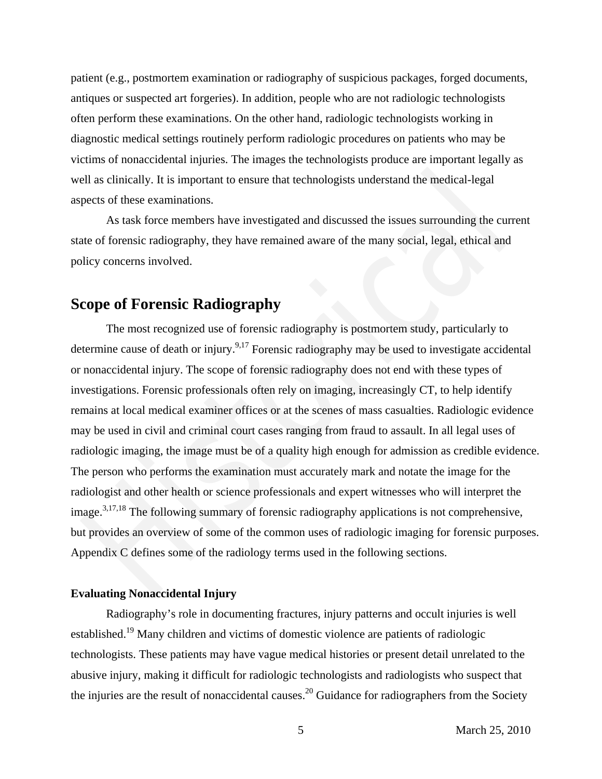patient (e.g., postmortem examination or radiography of suspicious packages, forged documents, antiques or suspected art forgeries). In addition, people who are not radiologic technologists often perform these examinations. On the other hand, radiologic technologists working in diagnostic medical settings routinely perform radiologic procedures on patients who may be victims of nonaccidental injuries. The images the technologists produce are important legally as well as clinically. It is important to ensure that technologists understand the medical-legal aspects of these examinations.

As task force members have investigated and discussed the issues surrounding the current state of forensic radiography, they have remained aware of the many social, legal, ethical and policy concerns involved.

# **Scope of Forensic Radiography**

The most recognized use of forensic radiography is postmortem study, particularly to determine cause of death or injury.<sup>9,17</sup> Forensic radiography may be used to investigate accidental or nonaccidental injury. The scope of forensic radiography does not end with these types of investigations. Forensic professionals often rely on imaging, increasingly CT, to help identify remains at local medical examiner offices or at the scenes of mass casualties. Radiologic evidence may be used in civil and criminal court cases ranging from fraud to assault. In all legal uses of radiologic imaging, the image must be of a quality high enough for admission as credible evidence. The person who performs the examination must accurately mark and notate the image for the radiologist and other health or science professionals and expert witnesses who will interpret the image.<sup>3,17,18</sup> The following summary of forensic radiography applications is not comprehensive, but provides an overview of some of the common uses of radiologic imaging for forensic purposes. Appendix C defines some of the radiology terms used in the following sections. For the set interest in the matter and the matter and the medical-legal and the medical-legal and is clinically. It is important to ensure that technologists understand the medical-legal peets of these examinations.<br>As ta

# **Evaluating Nonaccidental Injury**

Radiography's role in documenting fractures, injury patterns and occult injuries is well established.<sup>19</sup> Many children and victims of domestic violence are patients of radiologic technologists. These patients may have vague medical histories or present detail unrelated to the abusive injury, making it difficult for radiologic technologists and radiologists who suspect that the injuries are the result of nonaccidental causes.<sup>20</sup> Guidance for radiographers from the Society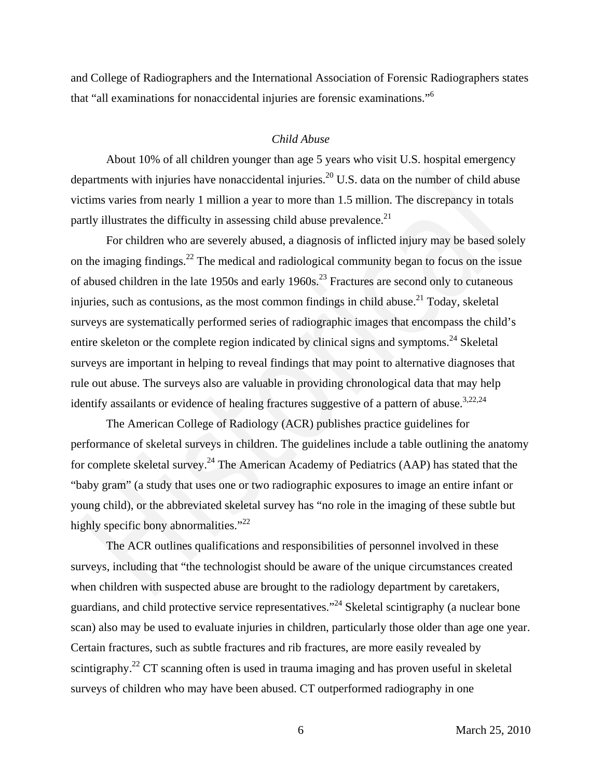and College of Radiographers and the International Association of Forensic Radiographers states that "all examinations for nonaccidental injuries are forensic examinations."6

# *Child Abuse*

About 10% of all children younger than age 5 years who visit U.S. hospital emergency departments with injuries have nonaccidental injuries.<sup>20</sup> U.S. data on the number of child abuse victims varies from nearly 1 million a year to more than 1.5 million. The discrepancy in totals partly illustrates the difficulty in assessing child abuse prevalence.<sup>21</sup>

For children who are severely abused, a diagnosis of inflicted injury may be based solely on the imaging findings.<sup>22</sup> The medical and radiological community began to focus on the issue of abused children in the late 1950s and early 1960s.<sup>23</sup> Fractures are second only to cutaneous injuries, such as contusions, as the most common findings in child abuse.<sup>21</sup> Today, skeletal surveys are systematically performed series of radiographic images that encompass the child's entire skeleton or the complete region indicated by clinical signs and symptoms.<sup>24</sup> Skeletal surveys are important in helping to reveal findings that may point to alternative diagnoses that rule out abuse. The surveys also are valuable in providing chronological data that may help identify assailants or evidence of healing fractures suggestive of a pattern of abuse.<sup>3,22,24</sup> partments with injuries have nonaccidental injuries.<sup>20</sup> U.S. data on the number of child abus<br>partments with injuries have nonaccidental injuries.<sup>20</sup> U.S. data on the number of child abus<br>trims varies from nearly 1 mill

The American College of Radiology (ACR) publishes practice guidelines for performance of skeletal surveys in children. The guidelines include a table outlining the anatomy for complete skeletal survey.<sup>24</sup> The American Academy of Pediatrics (AAP) has stated that the "baby gram" (a study that uses one or two radiographic exposures to image an entire infant or young child), or the abbreviated skeletal survey has "no role in the imaging of these subtle but highly specific bony abnormalities."<sup>22</sup>

The ACR outlines qualifications and responsibilities of personnel involved in these surveys, including that "the technologist should be aware of the unique circumstances created when children with suspected abuse are brought to the radiology department by caretakers, guardians, and child protective service representatives."24 Skeletal scintigraphy (a nuclear bone scan) also may be used to evaluate injuries in children, particularly those older than age one year. Certain fractures, such as subtle fractures and rib fractures, are more easily revealed by scintigraphy.<sup>22</sup> CT scanning often is used in trauma imaging and has proven useful in skeletal surveys of children who may have been abused. CT outperformed radiography in one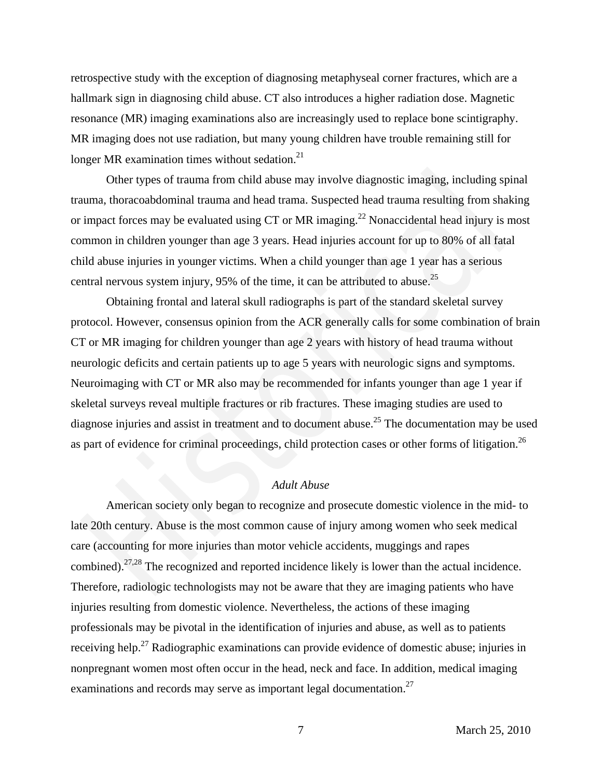retrospective study with the exception of diagnosing metaphyseal corner fractures, which are a hallmark sign in diagnosing child abuse. CT also introduces a higher radiation dose. Magnetic resonance (MR) imaging examinations also are increasingly used to replace bone scintigraphy. MR imaging does not use radiation, but many young children have trouble remaining still for longer MR examination times without sedation.<sup>21</sup>

Other types of trauma from child abuse may involve diagnostic imaging, including spinal trauma, thoracoabdominal trauma and head trama. Suspected head trauma resulting from shaking or impact forces may be evaluated using  $CT$  or MR imaging.<sup>22</sup> Nonaccidental head injury is most common in children younger than age 3 years. Head injuries account for up to 80% of all fatal child abuse injuries in younger victims. When a child younger than age 1 year has a serious central nervous system injury, 95% of the time, it can be attributed to abuse.<sup>25</sup>

Obtaining frontal and lateral skull radiographs is part of the standard skeletal survey protocol. However, consensus opinion from the ACR generally calls for some combination of brain CT or MR imaging for children younger than age 2 years with history of head trauma without neurologic deficits and certain patients up to age 5 years with neurologic signs and symptoms. Neuroimaging with CT or MR also may be recommended for infants younger than age 1 year if skeletal surveys reveal multiple fractures or rib fractures. These imaging studies are used to diagnose injuries and assist in treatment and to document abuse.<sup>25</sup> The documentation may be used as part of evidence for criminal proceedings, child protection cases or other forms of litigation.<sup>26</sup> Other types of trauma from child abuse may involve diagnostic imaging, including spin to the types of trauma from child abuse may involve diagnostic imaging, including spin unna, thoracoabdominal trauma and head trama. Su

# *Adult Abuse*

American society only began to recognize and prosecute domestic violence in the mid- to late 20th century. Abuse is the most common cause of injury among women who seek medical care (accounting for more injuries than motor vehicle accidents, muggings and rapes combined).27,28 The recognized and reported incidence likely is lower than the actual incidence. Therefore, radiologic technologists may not be aware that they are imaging patients who have injuries resulting from domestic violence. Nevertheless, the actions of these imaging professionals may be pivotal in the identification of injuries and abuse, as well as to patients receiving help.27 Radiographic examinations can provide evidence of domestic abuse; injuries in nonpregnant women most often occur in the head, neck and face. In addition, medical imaging examinations and records may serve as important legal documentation.<sup>27</sup>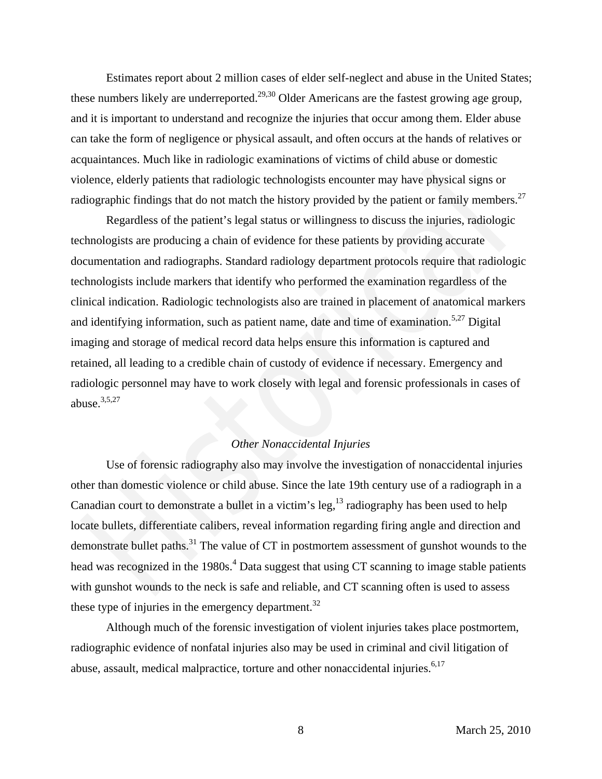Estimates report about 2 million cases of elder self-neglect and abuse in the United States; these numbers likely are underreported.<sup>29,30</sup> Older Americans are the fastest growing age group, and it is important to understand and recognize the injuries that occur among them. Elder abuse can take the form of negligence or physical assault, and often occurs at the hands of relatives or acquaintances. Much like in radiologic examinations of victims of child abuse or domestic violence, elderly patients that radiologic technologists encounter may have physical signs or radiographic findings that do not match the history provided by the patient or family members.<sup>27</sup>

Regardless of the patient's legal status or willingness to discuss the injuries, radiologic technologists are producing a chain of evidence for these patients by providing accurate documentation and radiographs. Standard radiology department protocols require that radiologic technologists include markers that identify who performed the examination regardless of the clinical indication. Radiologic technologists also are trained in placement of anatomical markers and identifying information, such as patient name, date and time of examination.<sup>5,27</sup> Digital imaging and storage of medical record data helps ensure this information is captured and retained, all leading to a credible chain of custody of evidence if necessary. Emergency and radiologic personnel may have to work closely with legal and forensic professionals in cases of abuse. $3,5,27$ blence, elderly patients that radiologic technologists encounter may have physical signs or<br>blographic findings that do not match the history provided by the patient or family members<br>Regardless of the patient's legal sta

# *Other Nonaccidental Injuries*

Use of forensic radiography also may involve the investigation of nonaccidental injuries other than domestic violence or child abuse. Since the late 19th century use of a radiograph in a Canadian court to demonstrate a bullet in a victim's leg,  $^{13}$  radiography has been used to help locate bullets, differentiate calibers, reveal information regarding firing angle and direction and demonstrate bullet paths.<sup>31</sup> The value of CT in postmortem assessment of gunshot wounds to the head was recognized in the 1980s.<sup>4</sup> Data suggest that using CT scanning to image stable patients with gunshot wounds to the neck is safe and reliable, and CT scanning often is used to assess these type of injuries in the emergency department.<sup>32</sup>

Although much of the forensic investigation of violent injuries takes place postmortem, radiographic evidence of nonfatal injuries also may be used in criminal and civil litigation of abuse, assault, medical malpractice, torture and other nonaccidental injuries.<sup>6,17</sup>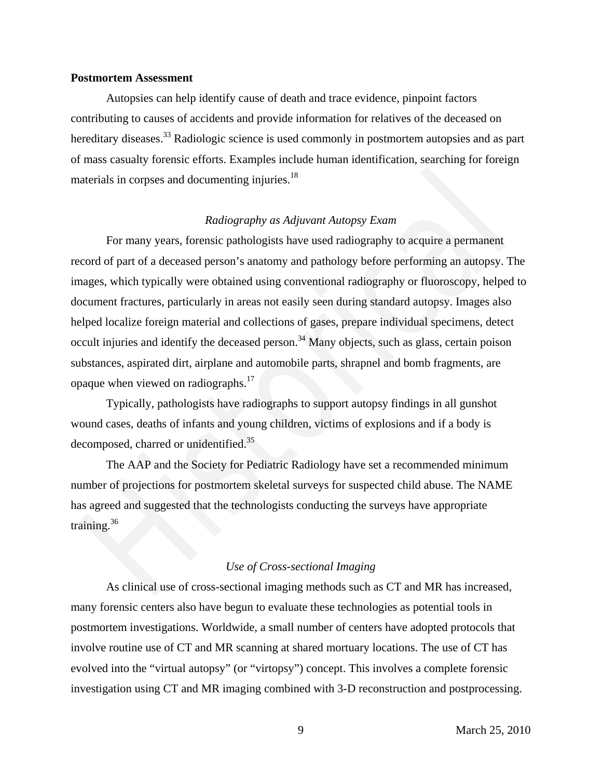# **Postmortem Assessment**

Autopsies can help identify cause of death and trace evidence, pinpoint factors contributing to causes of accidents and provide information for relatives of the deceased on hereditary diseases.<sup>33</sup> Radiologic science is used commonly in postmortem autopsies and as part of mass casualty forensic efforts. Examples include human identification, searching for foreign materials in corpses and documenting injuries.<sup>18</sup>

### *Radiography as Adjuvant Autopsy Exam*

For many years, forensic pathologists have used radiography to acquire a permanent record of part of a deceased person's anatomy and pathology before performing an autopsy. The images, which typically were obtained using conventional radiography or fluoroscopy, helped to document fractures, particularly in areas not easily seen during standard autopsy. Images also helped localize foreign material and collections of gases, prepare individual specimens, detect occult injuries and identify the deceased person.<sup>34</sup> Many objects, such as glass, certain poison substances, aspirated dirt, airplane and automobile parts, shrapnel and bomb fragments, are opaque when viewed on radiographs.17 The initial sin corporation of *Radiography as Adjuvant Autopsy Exam*<br>For many years, forensic pathologists have used radiography to acquire a permanent<br>ord of part of a deceased person's anatomy and pathology before perf

Typically, pathologists have radiographs to support autopsy findings in all gunshot wound cases, deaths of infants and young children, victims of explosions and if a body is decomposed, charred or unidentified.<sup>35</sup>

The AAP and the Society for Pediatric Radiology have set a recommended minimum number of projections for postmortem skeletal surveys for suspected child abuse. The NAME has agreed and suggested that the technologists conducting the surveys have appropriate training.<sup>36</sup>

### *Use of Cross-sectional Imaging*

As clinical use of cross-sectional imaging methods such as CT and MR has increased, many forensic centers also have begun to evaluate these technologies as potential tools in postmortem investigations. Worldwide, a small number of centers have adopted protocols that involve routine use of CT and MR scanning at shared mortuary locations. The use of CT has evolved into the "virtual autopsy" (or "virtopsy") concept. This involves a complete forensic investigation using CT and MR imaging combined with 3-D reconstruction and postprocessing.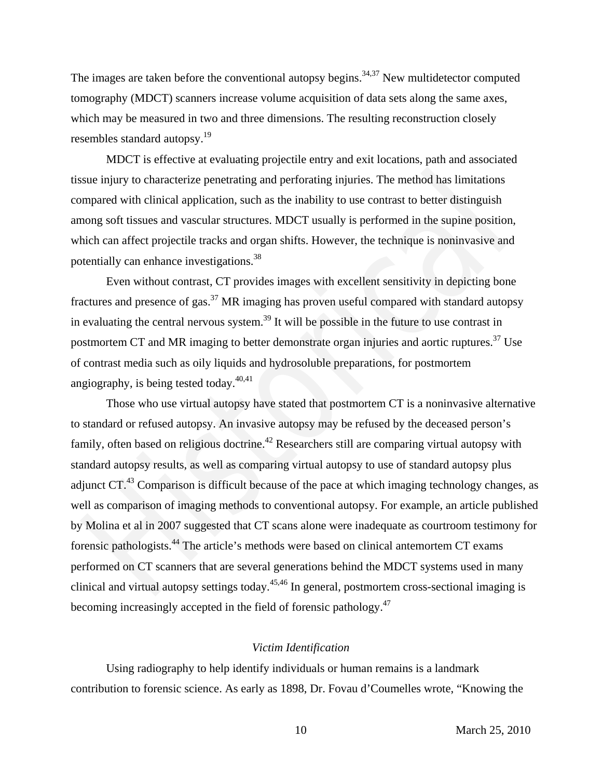The images are taken before the conventional autopsy begins.<sup>34,37</sup> New multidetector computed tomography (MDCT) scanners increase volume acquisition of data sets along the same axes, which may be measured in two and three dimensions. The resulting reconstruction closely resembles standard autopsy.19

MDCT is effective at evaluating projectile entry and exit locations, path and associated tissue injury to characterize penetrating and perforating injuries. The method has limitations compared with clinical application, such as the inability to use contrast to better distinguish among soft tissues and vascular structures. MDCT usually is performed in the supine position, which can affect projectile tracks and organ shifts. However, the technique is noninvasive and potentially can enhance investigations.38

Even without contrast, CT provides images with excellent sensitivity in depicting bone fractures and presence of gas.<sup>37</sup> MR imaging has proven useful compared with standard autopsy in evaluating the central nervous system.<sup>39</sup> It will be possible in the future to use contrast in postmortem CT and MR imaging to better demonstrate organ injuries and aortic ruptures.<sup>37</sup> Use of contrast media such as oily liquids and hydrosoluble preparations, for postmortem angiography, is being tested today. $40,41$ 

Those who use virtual autopsy have stated that postmortem CT is a noninvasive alternative to standard or refused autopsy. An invasive autopsy may be refused by the deceased person's family, often based on religious doctrine.<sup>42</sup> Researchers still are comparing virtual autopsy with standard autopsy results, as well as comparing virtual autopsy to use of standard autopsy plus adjunct CT.<sup>43</sup> Comparison is difficult because of the pace at which imaging technology changes, as well as comparison of imaging methods to conventional autopsy. For example, an article published by Molina et al in 2007 suggested that CT scans alone were inadequate as courtroom testimony for forensic pathologists.44 The article's methods were based on clinical antemortem CT exams performed on CT scanners that are several generations behind the MDCT systems used in many clinical and virtual autopsy settings today.45,46 In general, postmortem cross-sectional imaging is becoming increasingly accepted in the field of forensic pathology.<sup>47</sup> sue injury to characterize penetrating and perforating injuries. The method has limitations<br>sue injury to characterize penetrating and perforating injuries. The method has limitations<br>mpared with clinical application, suc

# *Victim Identification*

Using radiography to help identify individuals or human remains is a landmark contribution to forensic science. As early as 1898, Dr. Fovau d'Coumelles wrote, "Knowing the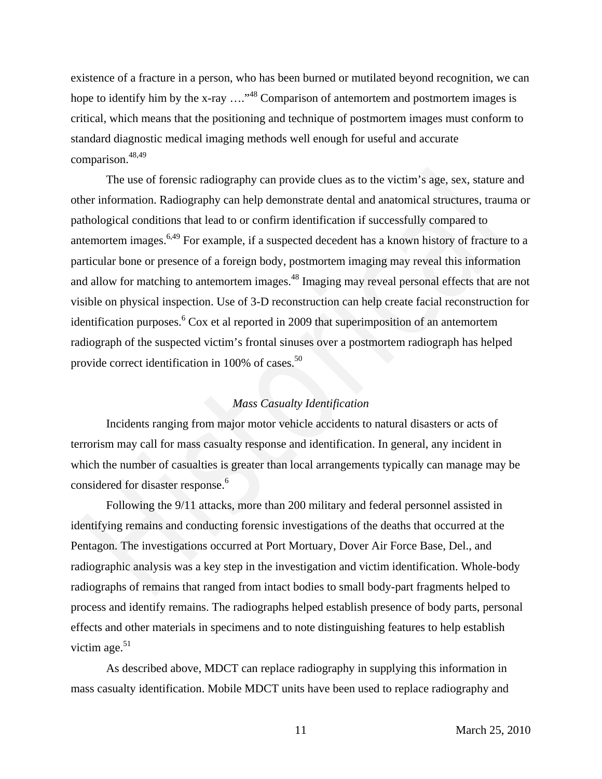existence of a fracture in a person, who has been burned or mutilated beyond recognition, we can hope to identify him by the x-ray  $\ldots$ <sup>48</sup> Comparison of antemortem and postmortem images is critical, which means that the positioning and technique of postmortem images must conform to standard diagnostic medical imaging methods well enough for useful and accurate comparison.<sup>48,49</sup>

The use of forensic radiography can provide clues as to the victim's age, sex, stature and other information. Radiography can help demonstrate dental and anatomical structures, trauma or pathological conditions that lead to or confirm identification if successfully compared to antemortem images.6,49 For example, if a suspected decedent has a known history of fracture to a particular bone or presence of a foreign body, postmortem imaging may reveal this information and allow for matching to antemortem images.<sup>48</sup> Imaging may reveal personal effects that are not visible on physical inspection. Use of 3-D reconstruction can help create facial reconstruction for identification purposes.<sup>6</sup> Cox et al reported in 2009 that superimposition of an antemortem radiograph of the suspected victim's frontal sinuses over a postmortem radiograph has helped provide correct identification in 100% of cases.<sup>50</sup> The use of forensic radiography can provide clues as to the victim's age, sex, stature and the intermation. Radiography can help demonstrate dental and anatomical structures, traumathological conditions that lead to or co

# *Mass Casualty Identification*

Incidents ranging from major motor vehicle accidents to natural disasters or acts of terrorism may call for mass casualty response and identification. In general, any incident in which the number of casualties is greater than local arrangements typically can manage may be considered for disaster response.<sup>6</sup>

Following the 9/11 attacks, more than 200 military and federal personnel assisted in identifying remains and conducting forensic investigations of the deaths that occurred at the Pentagon. The investigations occurred at Port Mortuary, Dover Air Force Base, Del., and radiographic analysis was a key step in the investigation and victim identification. Whole-body radiographs of remains that ranged from intact bodies to small body-part fragments helped to process and identify remains. The radiographs helped establish presence of body parts, personal effects and other materials in specimens and to note distinguishing features to help establish victim age. $51$ 

As described above, MDCT can replace radiography in supplying this information in mass casualty identification. Mobile MDCT units have been used to replace radiography and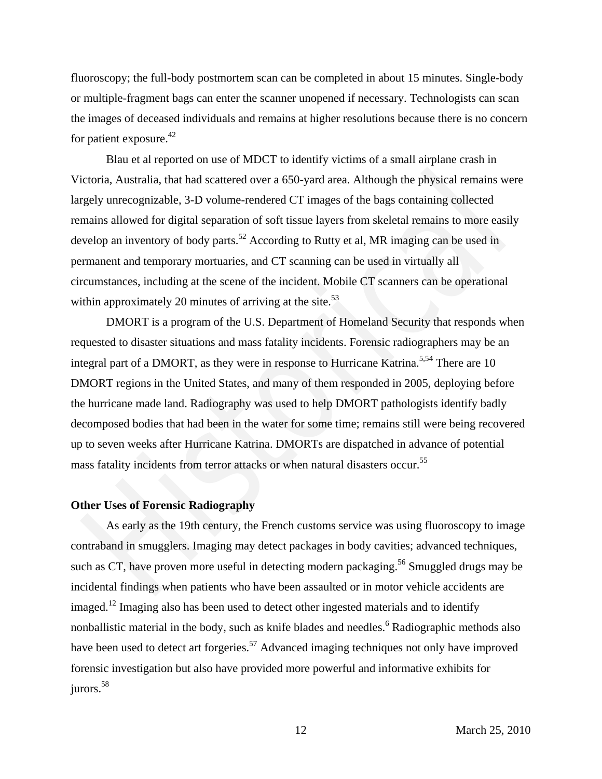fluoroscopy; the full-body postmortem scan can be completed in about 15 minutes. Single-body or multiple-fragment bags can enter the scanner unopened if necessary. Technologists can scan the images of deceased individuals and remains at higher resolutions because there is no concern for patient exposure.<sup>42</sup>

Blau et al reported on use of MDCT to identify victims of a small airplane crash in Victoria, Australia, that had scattered over a 650-yard area. Although the physical remains were largely unrecognizable, 3-D volume-rendered CT images of the bags containing collected remains allowed for digital separation of soft tissue layers from skeletal remains to more easily develop an inventory of body parts.<sup>52</sup> According to Rutty et al, MR imaging can be used in permanent and temporary mortuaries, and CT scanning can be used in virtually all circumstances, including at the scene of the incident. Mobile CT scanners can be operational within approximately 20 minutes of arriving at the site. $53$ 

DMORT is a program of the U.S. Department of Homeland Security that responds when requested to disaster situations and mass fatality incidents. Forensic radiographers may be an integral part of a DMORT, as they were in response to Hurricane Katrina.<sup>5,54</sup> There are 10 DMORT regions in the United States, and many of them responded in 2005, deploying before the hurricane made land. Radiography was used to help DMORT pathologists identify badly decomposed bodies that had been in the water for some time; remains still were being recovered up to seven weeks after Hurricane Katrina. DMORTs are dispatched in advance of potential mass fatality incidents from terror attacks or when natural disasters occur.<sup>55</sup> ctoria, Australia, that had scattered over a 650-yard area. Although the physical remains we<br>gely unrecognizable, 3-D volume-rendered CT images of the bags containing collected<br>mains allowed for digital separation of soft

### **Other Uses of Forensic Radiography**

As early as the 19th century, the French customs service was using fluoroscopy to image contraband in smugglers. Imaging may detect packages in body cavities; advanced techniques, such as CT, have proven more useful in detecting modern packaging.<sup>56</sup> Smuggled drugs may be incidental findings when patients who have been assaulted or in motor vehicle accidents are imaged.<sup>12</sup> Imaging also has been used to detect other ingested materials and to identify nonballistic material in the body, such as knife blades and needles.<sup>6</sup> Radiographic methods also have been used to detect art forgeries.<sup>57</sup> Advanced imaging techniques not only have improved forensic investigation but also have provided more powerful and informative exhibits for jurors.<sup>58</sup>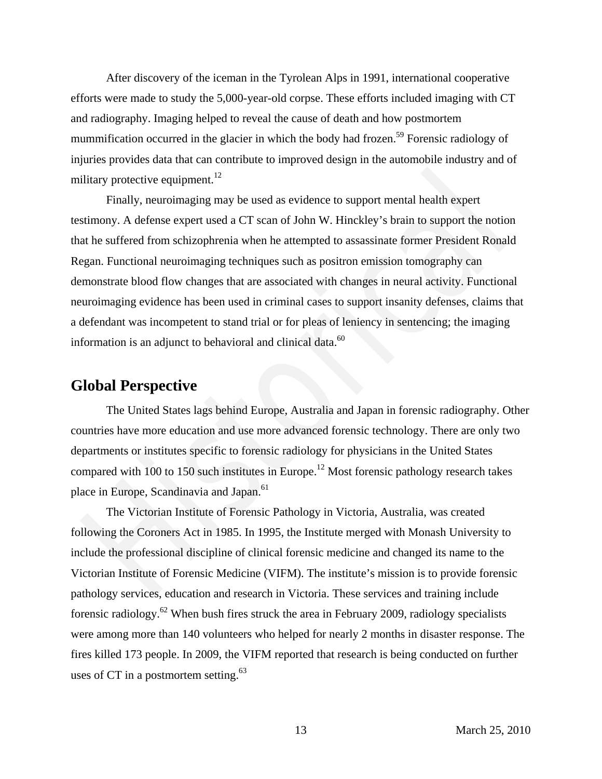After discovery of the iceman in the Tyrolean Alps in 1991, international cooperative efforts were made to study the 5,000-year-old corpse. These efforts included imaging with CT and radiography. Imaging helped to reveal the cause of death and how postmortem mummification occurred in the glacier in which the body had frozen.<sup>59</sup> Forensic radiology of injuries provides data that can contribute to improved design in the automobile industry and of military protective equipment.<sup>12</sup>

Finally, neuroimaging may be used as evidence to support mental health expert testimony. A defense expert used a CT scan of John W. Hinckley's brain to support the notion that he suffered from schizophrenia when he attempted to assassinate former President Ronald Regan. Functional neuroimaging techniques such as positron emission tomography can demonstrate blood flow changes that are associated with changes in neural activity. Functional neuroimaging evidence has been used in criminal cases to support insanity defenses, claims that a defendant was incompetent to stand trial or for pleas of leniency in sentencing; the imaging information is an adjunct to behavioral and clinical data. $^{60}$ Hirary protective equipment.<sup>12</sup><br>
Finally, neuroimaging may be used as evidence to support mental health expert<br>
Finally, neuroimaging may be used as evidence to support mental health expert<br>
strimmy. A defense expert used

# **Global Perspective**

The United States lags behind Europe, Australia and Japan in forensic radiography. Other countries have more education and use more advanced forensic technology. There are only two departments or institutes specific to forensic radiology for physicians in the United States compared with 100 to 150 such institutes in Europe.<sup>12</sup> Most forensic pathology research takes place in Europe, Scandinavia and Japan.<sup>61</sup>

The Victorian Institute of Forensic Pathology in Victoria, Australia, was created following the Coroners Act in 1985. In 1995, the Institute merged with Monash University to include the professional discipline of clinical forensic medicine and changed its name to the Victorian Institute of Forensic Medicine (VIFM). The institute's mission is to provide forensic pathology services, education and research in Victoria. These services and training include forensic radiology.<sup>62</sup> When bush fires struck the area in February 2009, radiology specialists were among more than 140 volunteers who helped for nearly 2 months in disaster response. The fires killed 173 people. In 2009, the VIFM reported that research is being conducted on further uses of CT in a postmortem setting. $63$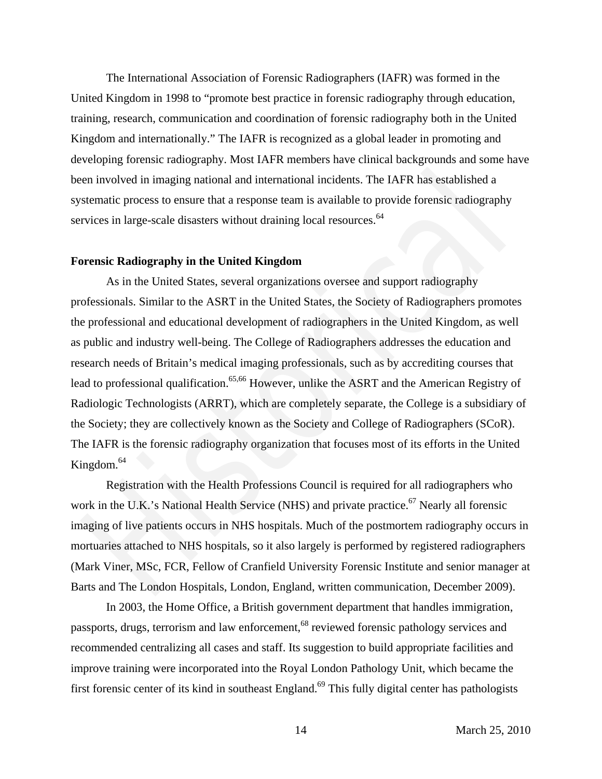The International Association of Forensic Radiographers (IAFR) was formed in the United Kingdom in 1998 to "promote best practice in forensic radiography through education, training, research, communication and coordination of forensic radiography both in the United Kingdom and internationally." The IAFR is recognized as a global leader in promoting and developing forensic radiography. Most IAFR members have clinical backgrounds and some have been involved in imaging national and international incidents. The IAFR has established a systematic process to ensure that a response team is available to provide forensic radiography services in large-scale disasters without draining local resources.<sup>64</sup>

### **Forensic Radiography in the United Kingdom**

As in the United States, several organizations oversee and support radiography professionals. Similar to the ASRT in the United States, the Society of Radiographers promotes the professional and educational development of radiographers in the United Kingdom, as well as public and industry well-being. The College of Radiographers addresses the education and research needs of Britain's medical imaging professionals, such as by accrediting courses that lead to professional qualification.<sup>65,66</sup> However, unlike the ASRT and the American Registry of Radiologic Technologists (ARRT), which are completely separate, the College is a subsidiary of the Society; they are collectively known as the Society and College of Radiographers (SCoR). The IAFR is the forensic radiography organization that focuses most of its efforts in the United Kingdom. $64$ en involved in imaging mational and international incidents. The IAFR has established a<br>
stematic process to ensure that a response team is available to provide forensic radiography<br>
vivices in large-scale disasters withou

Registration with the Health Professions Council is required for all radiographers who work in the U.K.'s National Health Service (NHS) and private practice.<sup>67</sup> Nearly all forensic imaging of live patients occurs in NHS hospitals. Much of the postmortem radiography occurs in mortuaries attached to NHS hospitals, so it also largely is performed by registered radiographers (Mark Viner, MSc, FCR, Fellow of Cranfield University Forensic Institute and senior manager at Barts and The London Hospitals, London, England, written communication, December 2009).

In 2003, the Home Office, a British government department that handles immigration, passports, drugs, terrorism and law enforcement,<sup>68</sup> reviewed forensic pathology services and recommended centralizing all cases and staff. Its suggestion to build appropriate facilities and improve training were incorporated into the Royal London Pathology Unit, which became the first forensic center of its kind in southeast England.<sup>69</sup> This fully digital center has pathologists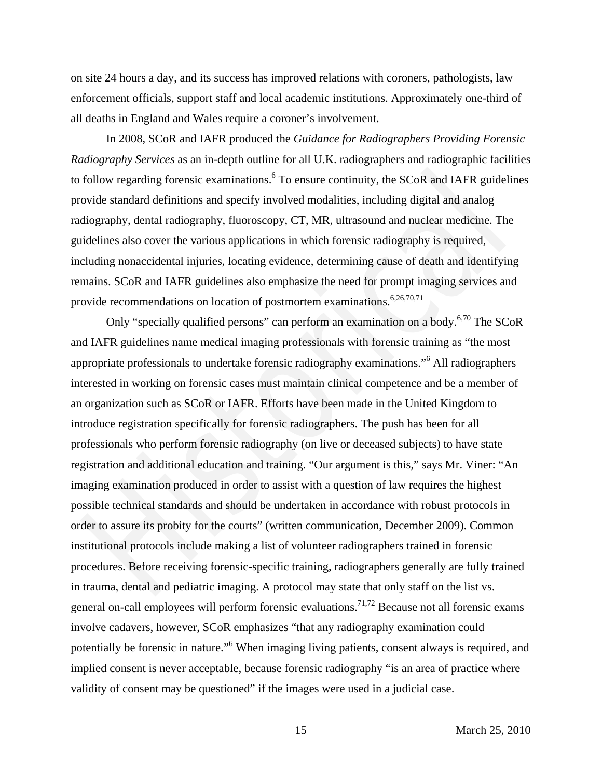on site 24 hours a day, and its success has improved relations with coroners, pathologists, law enforcement officials, support staff and local academic institutions. Approximately one-third of all deaths in England and Wales require a coroner's involvement.

In 2008, SCoR and IAFR produced the *Guidance for Radiographers Providing Forensic Radiography Services* as an in-depth outline for all U.K. radiographers and radiographic facilities to follow regarding forensic examinations. <sup>6</sup> To ensure continuity, the SCoR and IAFR guidelines provide standard definitions and specify involved modalities, including digital and analog radiography, dental radiography, fluoroscopy, CT, MR, ultrasound and nuclear medicine. The guidelines also cover the various applications in which forensic radiography is required, including nonaccidental injuries, locating evidence, determining cause of death and identifying remains. SCoR and IAFR guidelines also emphasize the need for prompt imaging services and provide recommendations on location of postmortem examinations.<sup>6,26,70,71</sup>

Only "specially qualified persons" can perform an examination on a body.<sup>6,70</sup> The SCoR and IAFR guidelines name medical imaging professionals with forensic training as "the most appropriate professionals to undertake forensic radiography examinations."<sup>6</sup> All radiographers interested in working on forensic cases must maintain clinical competence and be a member of an organization such as SCoR or IAFR. Efforts have been made in the United Kingdom to introduce registration specifically for forensic radiographers. The push has been for all professionals who perform forensic radiography (on live or deceased subjects) to have state registration and additional education and training. "Our argument is this," says Mr. Viner: "An imaging examination produced in order to assist with a question of law requires the highest possible technical standards and should be undertaken in accordance with robust protocols in order to assure its probity for the courts" (written communication, December 2009). Common institutional protocols include making a list of volunteer radiographers trained in forensic procedures. Before receiving forensic-specific training, radiographers generally are fully trained in trauma, dental and pediatric imaging. A protocol may state that only staff on the list vs. general on-call employees will perform forensic evaluations.<sup>71,72</sup> Because not all forensic exams involve cadavers, however, SCoR emphasizes "that any radiography examination could potentially be forensic in nature."<sup>6</sup> When imaging living patients, consent always is required, and implied consent is never acceptable, because forensic radiography "is an area of practice where validity of consent may be questioned" if the images were used in a judicial case. Follow regarding forensic examinations,<sup>6</sup> To ensure continuity, the SCoR and IAFR guidelinvide standard definitions and specify involved modalities, including digital and analog liography, dental radiography, fluoroscopy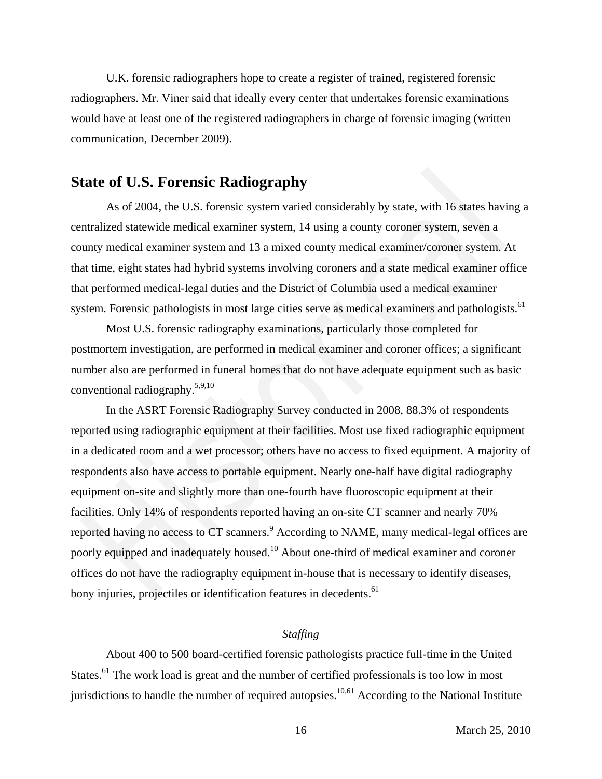U.K. forensic radiographers hope to create a register of trained, registered forensic radiographers. Mr. Viner said that ideally every center that undertakes forensic examinations would have at least one of the registered radiographers in charge of forensic imaging (written communication, December 2009).

# **State of U.S. Forensic Radiography**

As of 2004, the U.S. forensic system varied considerably by state, with 16 states having a centralized statewide medical examiner system, 14 using a county coroner system, seven a county medical examiner system and 13 a mixed county medical examiner/coroner system. At that time, eight states had hybrid systems involving coroners and a state medical examiner office that performed medical-legal duties and the District of Columbia used a medical examiner system. Forensic pathologists in most large cities serve as medical examiners and pathologists.<sup>61</sup>

Most U.S. forensic radiography examinations, particularly those completed for postmortem investigation, are performed in medical examiner and coroner offices; a significant number also are performed in funeral homes that do not have adequate equipment such as basic conventional radiography.5,9,10

In the ASRT Forensic Radiography Survey conducted in 2008, 88.3% of respondents reported using radiographic equipment at their facilities. Most use fixed radiographic equipment in a dedicated room and a wet processor; others have no access to fixed equipment. A majority of respondents also have access to portable equipment. Nearly one-half have digital radiography equipment on-site and slightly more than one-fourth have fluoroscopic equipment at their facilities. Only 14% of respondents reported having an on-site CT scanner and nearly 70% reported having no access to CT scanners.<sup>9</sup> According to NAME, many medical-legal offices are poorly equipped and inadequately housed.<sup>10</sup> About one-third of medical examiner and coroner offices do not have the radiography equipment in-house that is necessary to identify diseases, bony injuries, projectiles or identification features in decedents.<sup>61</sup> **fate of U.S. Forensic Radiography**<br>As of 2004, the U.S. forensic system varied considerably by state, with 16 states havin<br>tradized statewide medical examiner system varied considerably by state, with 16 states havin<br>tra

# *Staffing*

About 400 to 500 board-certified forensic pathologists practice full-time in the United States.<sup>61</sup> The work load is great and the number of certified professionals is too low in most jurisdictions to handle the number of required autopsies.<sup>10,61</sup> According to the National Institute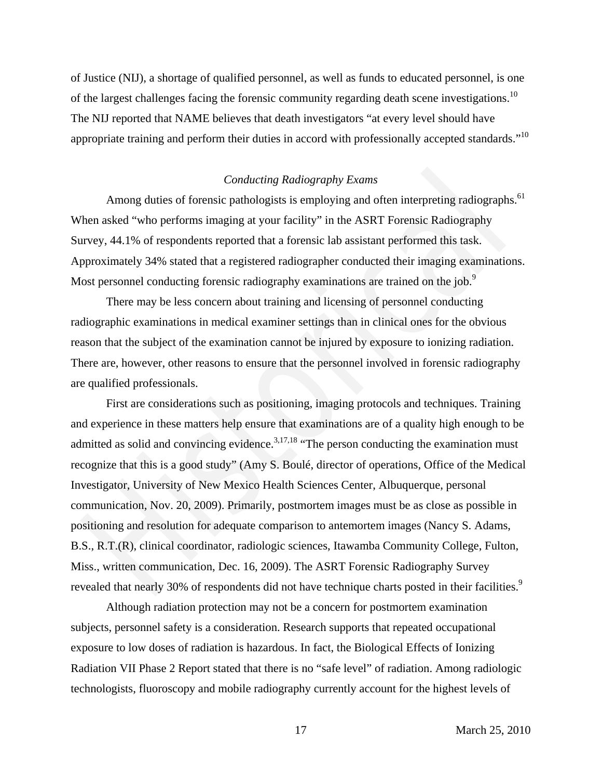of Justice (NIJ), a shortage of qualified personnel, as well as funds to educated personnel, is one of the largest challenges facing the forensic community regarding death scene investigations.<sup>10</sup> The NIJ reported that NAME believes that death investigators "at every level should have appropriate training and perform their duties in accord with professionally accepted standards."<sup>10</sup>

# *Conducting Radiography Exams*

Among duties of forensic pathologists is employing and often interpreting radiographs.<sup>61</sup> When asked "who performs imaging at your facility" in the ASRT Forensic Radiography Survey, 44.1% of respondents reported that a forensic lab assistant performed this task. Approximately 34% stated that a registered radiographer conducted their imaging examinations. Most personnel conducting forensic radiography examinations are trained on the job.<sup>9</sup>

There may be less concern about training and licensing of personnel conducting radiographic examinations in medical examiner settings than in clinical ones for the obvious reason that the subject of the examination cannot be injured by exposure to ionizing radiation. There are, however, other reasons to ensure that the personnel involved in forensic radiography are qualified professionals.

First are considerations such as positioning, imaging protocols and techniques. Training and experience in these matters help ensure that examinations are of a quality high enough to be admitted as solid and convincing evidence.<sup>3,17,18</sup> "The person conducting the examination must recognize that this is a good study" (Amy S. Boulé, director of operations, Office of the Medical Investigator, University of New Mexico Health Sciences Center, Albuquerque, personal communication, Nov. 20, 2009). Primarily, postmortem images must be as close as possible in positioning and resolution for adequate comparison to antemortem images (Nancy S. Adams, B.S., R.T.(R), clinical coordinator, radiologic sciences, Itawamba Community College, Fulton, Miss., written communication, Dec. 16, 2009). The ASRT Forensic Radiography Survey revealed that nearly 30% of respondents did not have technique charts posted in their facilities.<sup>9</sup> Conducting Radiography Exams<br>
Conducting Radiography Exams<br>
Among duties of forensic pathologists is employing and often interpreting radiographs<br>
hen asked "who performs imaging at your facility" in the ASRT Forensic Radi

Although radiation protection may not be a concern for postmortem examination subjects, personnel safety is a consideration. Research supports that repeated occupational exposure to low doses of radiation is hazardous. In fact, the Biological Effects of Ionizing Radiation VII Phase 2 Report stated that there is no "safe level" of radiation. Among radiologic technologists, fluoroscopy and mobile radiography currently account for the highest levels of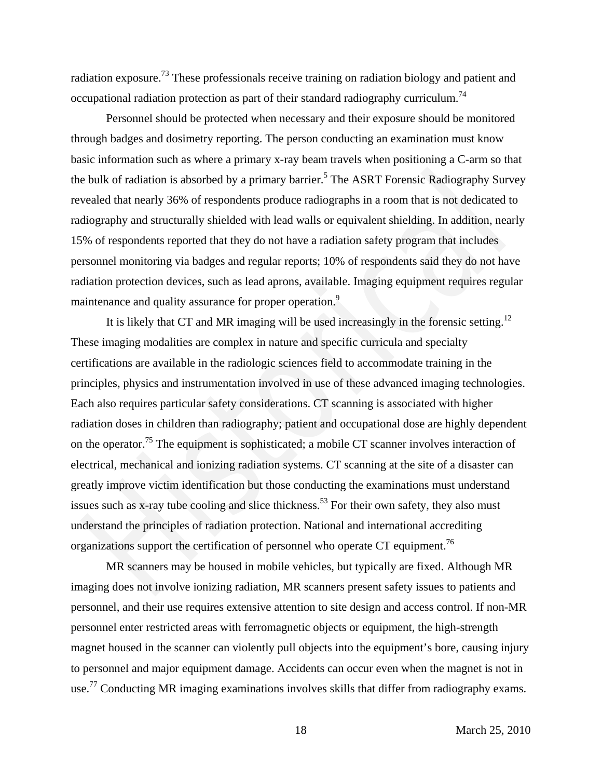radiation exposure.73 These professionals receive training on radiation biology and patient and occupational radiation protection as part of their standard radiography curriculum.<sup>74</sup>

Personnel should be protected when necessary and their exposure should be monitored through badges and dosimetry reporting. The person conducting an examination must know basic information such as where a primary x-ray beam travels when positioning a C-arm so that the bulk of radiation is absorbed by a primary barrier.<sup>5</sup> The ASRT Forensic Radiography Survey revealed that nearly 36% of respondents produce radiographs in a room that is not dedicated to radiography and structurally shielded with lead walls or equivalent shielding. In addition, nearly 15% of respondents reported that they do not have a radiation safety program that includes personnel monitoring via badges and regular reports; 10% of respondents said they do not have radiation protection devices, such as lead aprons, available. Imaging equipment requires regular maintenance and quality assurance for proper operation.<sup>9</sup>

It is likely that CT and MR imaging will be used increasingly in the forensic setting.<sup>12</sup> These imaging modalities are complex in nature and specific curricula and specialty certifications are available in the radiologic sciences field to accommodate training in the principles, physics and instrumentation involved in use of these advanced imaging technologies. Each also requires particular safety considerations. CT scanning is associated with higher radiation doses in children than radiography; patient and occupational dose are highly dependent on the operator.<sup>75</sup> The equipment is sophisticated; a mobile CT scanner involves interaction of electrical, mechanical and ionizing radiation systems. CT scanning at the site of a disaster can greatly improve victim identification but those conducting the examinations must understand issues such as x-ray tube cooling and slice thickness.<sup>53</sup> For their own safety, they also must understand the principles of radiation protection. National and international accrediting organizations support the certification of personnel who operate CT equipment.<sup>76</sup> bulk of radiation is absorbed by a primary barrier.<sup>5</sup> The ASRT Forensic Radiography Survealed that nearly 36% of respondents produce radiographs in a room that is not dedicated to ilography survealed that nearly 36% of re

MR scanners may be housed in mobile vehicles, but typically are fixed. Although MR imaging does not involve ionizing radiation, MR scanners present safety issues to patients and personnel, and their use requires extensive attention to site design and access control. If non-MR personnel enter restricted areas with ferromagnetic objects or equipment, the high-strength magnet housed in the scanner can violently pull objects into the equipment's bore, causing injury to personnel and major equipment damage. Accidents can occur even when the magnet is not in use.<sup>77</sup> Conducting MR imaging examinations involves skills that differ from radiography exams.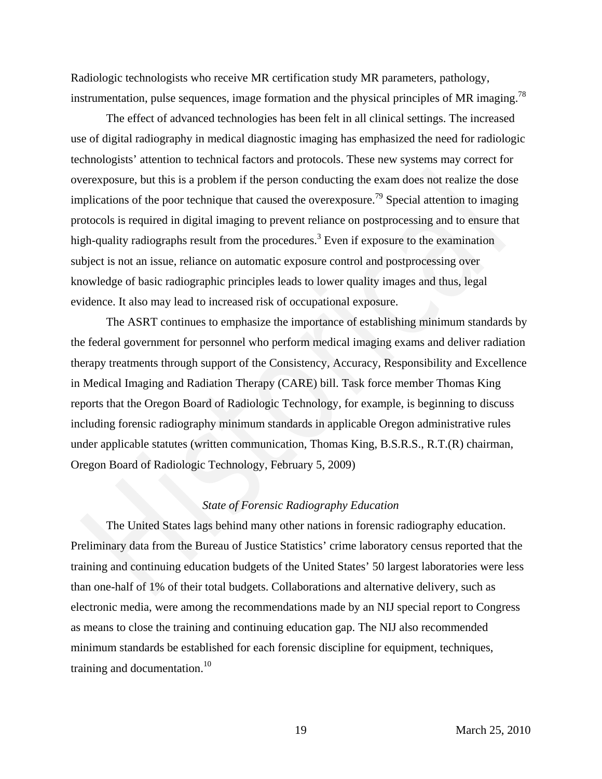Radiologic technologists who receive MR certification study MR parameters, pathology, instrumentation, pulse sequences, image formation and the physical principles of MR imaging.<sup>78</sup>

The effect of advanced technologies has been felt in all clinical settings. The increased use of digital radiography in medical diagnostic imaging has emphasized the need for radiologic technologists' attention to technical factors and protocols. These new systems may correct for overexposure, but this is a problem if the person conducting the exam does not realize the dose implications of the poor technique that caused the overexposure.<sup>79</sup> Special attention to imaging protocols is required in digital imaging to prevent reliance on postprocessing and to ensure that high-quality radiographs result from the procedures.<sup>3</sup> Even if exposure to the examination subject is not an issue, reliance on automatic exposure control and postprocessing over knowledge of basic radiographic principles leads to lower quality images and thus, legal evidence. It also may lead to increased risk of occupational exposure.

The ASRT continues to emphasize the importance of establishing minimum standards by the federal government for personnel who perform medical imaging exams and deliver radiation therapy treatments through support of the Consistency, Accuracy, Responsibility and Excellence in Medical Imaging and Radiation Therapy (CARE) bill. Task force member Thomas King reports that the Oregon Board of Radiologic Technology, for example, is beginning to discuss including forensic radiography minimum standards in applicable Oregon administrative rules under applicable statutes (written communication, Thomas King, B.S.R.S., R.T.(R) chairman, Oregon Board of Radiologic Technology, February 5, 2009) erexposure, but this is a problem if the person conducting the exam does not realize the dose<br>plications of the poor technique that caused the overexposure.<sup>79</sup> Special attention to imaging<br>otocols is required in digital i

# *State of Forensic Radiography Education*

The United States lags behind many other nations in forensic radiography education. Preliminary data from the Bureau of Justice Statistics' crime laboratory census reported that the training and continuing education budgets of the United States' 50 largest laboratories were less than one-half of 1% of their total budgets. Collaborations and alternative delivery, such as electronic media, were among the recommendations made by an NIJ special report to Congress as means to close the training and continuing education gap. The NIJ also recommended minimum standards be established for each forensic discipline for equipment, techniques, training and documentation. $10$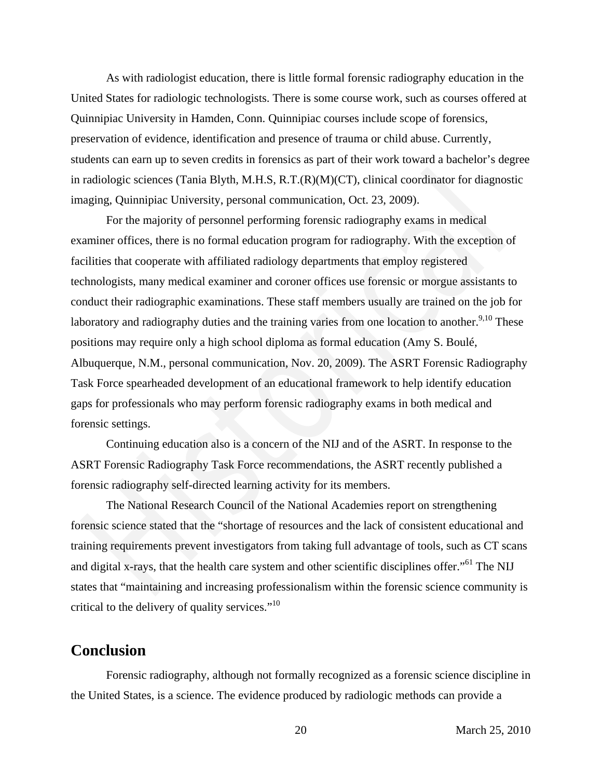As with radiologist education, there is little formal forensic radiography education in the United States for radiologic technologists. There is some course work, such as courses offered at Quinnipiac University in Hamden, Conn. Quinnipiac courses include scope of forensics, preservation of evidence, identification and presence of trauma or child abuse. Currently, students can earn up to seven credits in forensics as part of their work toward a bachelor's degree in radiologic sciences (Tania Blyth, M.H.S, R.T.(R)(M)(CT), clinical coordinator for diagnostic imaging, Quinnipiac University, personal communication, Oct. 23, 2009).

For the majority of personnel performing forensic radiography exams in medical examiner offices, there is no formal education program for radiography. With the exception of facilities that cooperate with affiliated radiology departments that employ registered technologists, many medical examiner and coroner offices use forensic or morgue assistants to conduct their radiographic examinations. These staff members usually are trained on the job for laboratory and radiography duties and the training varies from one location to another.<sup>9,10</sup> These positions may require only a high school diploma as formal education (Amy S. Boulé, Albuquerque, N.M., personal communication, Nov. 20, 2009). The ASRT Forensic Radiography Task Force spearheaded development of an educational framework to help identify education gaps for professionals who may perform forensic radiography exams in both medical and forensic settings. radiologie sciences (Tania Blyth, M.H.S., R.T.(R)(M)(CT), clinical coordinator for diagnost<br>radiologie sciences (Tania Blyth, M.H.S., R.T.(R)(M)(CT), clinical coordinator for diagnost<br>aging. Quimipiac University, personal

Continuing education also is a concern of the NIJ and of the ASRT. In response to the ASRT Forensic Radiography Task Force recommendations, the ASRT recently published a forensic radiography self-directed learning activity for its members.

The National Research Council of the National Academies report on strengthening forensic science stated that the "shortage of resources and the lack of consistent educational and training requirements prevent investigators from taking full advantage of tools, such as CT scans and digital x-rays, that the health care system and other scientific disciplines offer."<sup>61</sup> The NIJ states that "maintaining and increasing professionalism within the forensic science community is critical to the delivery of quality services."<sup>10</sup>

# **Conclusion**

Forensic radiography, although not formally recognized as a forensic science discipline in the United States, is a science. The evidence produced by radiologic methods can provide a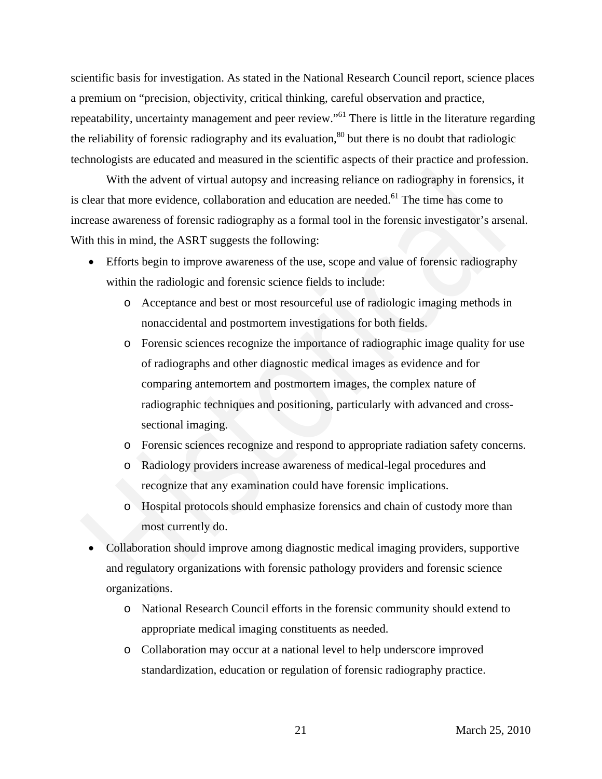scientific basis for investigation. As stated in the National Research Council report, science places a premium on "precision, objectivity, critical thinking, careful observation and practice, repeatability, uncertainty management and peer review."<sup>61</sup> There is little in the literature regarding the reliability of forensic radiography and its evaluation,<sup>80</sup> but there is no doubt that radiologic technologists are educated and measured in the scientific aspects of their practice and profession.

With the advent of virtual autopsy and increasing reliance on radiography in forensics, it is clear that more evidence, collaboration and education are needed.<sup>61</sup> The time has come to increase awareness of forensic radiography as a formal tool in the forensic investigator's arsenal. With this in mind, the ASRT suggests the following:

- Efforts begin to improve awareness of the use, scope and value of forensic radiography within the radiologic and forensic science fields to include:
	- o Acceptance and best or most resourceful use of radiologic imaging methods in nonaccidental and postmortem investigations for both fields.
- o Forensic sciences recognize the importance of radiographic image quality for use of radiographs and other diagnostic medical images as evidence and for comparing antemortem and postmortem images, the complex nature of radiographic techniques and positioning, particularly with advanced and crosssectional imaging. With the advent of virtual autopsy and increasing reliance on radiography in forensics,<br>clear that more evidence, collaboration and education are needed.<sup>81</sup> The time has come to<br>crease awareness of forensic radiography a
	- o Forensic sciences recognize and respond to appropriate radiation safety concerns.
	- o Radiology providers increase awareness of medical-legal procedures and recognize that any examination could have forensic implications.
	- o Hospital protocols should emphasize forensics and chain of custody more than most currently do.
- Collaboration should improve among diagnostic medical imaging providers, supportive and regulatory organizations with forensic pathology providers and forensic science organizations.
	- o National Research Council efforts in the forensic community should extend to appropriate medical imaging constituents as needed.
	- o Collaboration may occur at a national level to help underscore improved standardization, education or regulation of forensic radiography practice.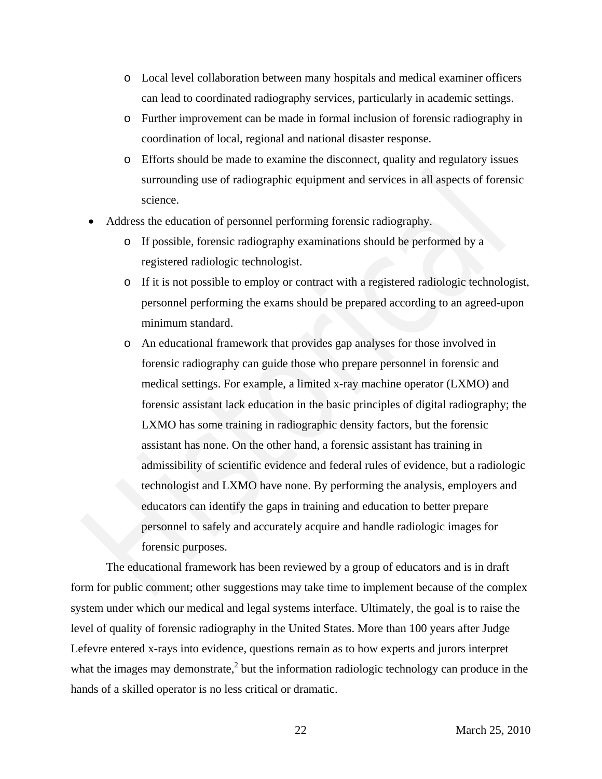- o Local level collaboration between many hospitals and medical examiner officers can lead to coordinated radiography services, particularly in academic settings.
- o Further improvement can be made in formal inclusion of forensic radiography in coordination of local, regional and national disaster response.
- o Efforts should be made to examine the disconnect, quality and regulatory issues surrounding use of radiographic equipment and services in all aspects of forensic science.
- Address the education of personnel performing forensic radiography.
	- o If possible, forensic radiography examinations should be performed by a registered radiologic technologist.
	- o If it is not possible to employ or contract with a registered radiologic technologist, personnel performing the exams should be prepared according to an agreed-upon minimum standard.
- o An educational framework that provides gap analyses for those involved in forensic radiography can guide those who prepare personnel in forensic and medical settings. For example, a limited x-ray machine operator (LXMO) and forensic assistant lack education in the basic principles of digital radiography; the LXMO has some training in radiographic density factors, but the forensic assistant has none. On the other hand, a forensic assistant has training in admissibility of scientific evidence and federal rules of evidence, but a radiologic technologist and LXMO have none. By performing the analysis, employers and educators can identify the gaps in training and education to better prepare personnel to safely and accurately acquire and handle radiologic images for forensic purposes. surrounding use of radiographic equipment and services in all aspects of forens<br>science.<br>
• Address the education of personnel performing forensic radiography.<br>
• If possible, forensic radiography examinations should be pe

The educational framework has been reviewed by a group of educators and is in draft form for public comment; other suggestions may take time to implement because of the complex system under which our medical and legal systems interface. Ultimately, the goal is to raise the level of quality of forensic radiography in the United States. More than 100 years after Judge Lefevre entered x-rays into evidence, questions remain as to how experts and jurors interpret what the images may demonstrate, $<sup>2</sup>$  but the information radiologic technology can produce in the</sup> hands of a skilled operator is no less critical or dramatic.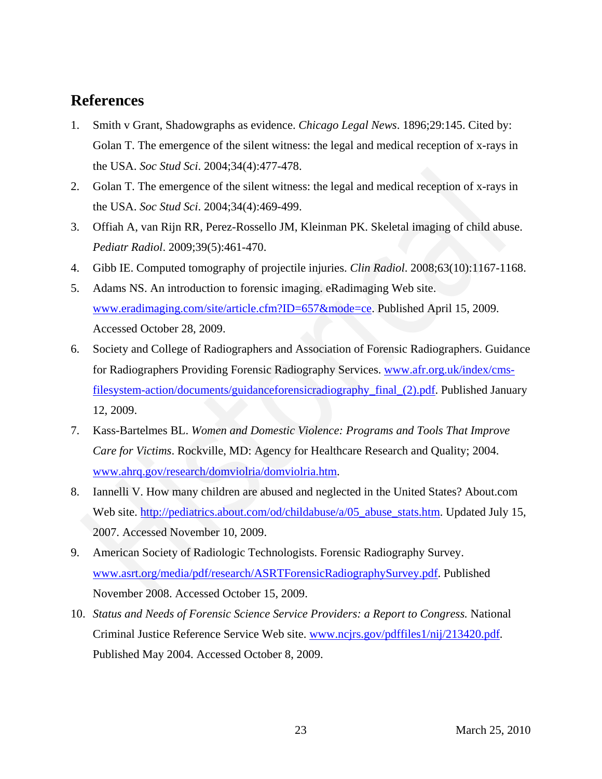# **References**

- 1. Smith v Grant, Shadowgraphs as evidence. *Chicago Legal News*. 1896;29:145. Cited by: Golan T. The emergence of the silent witness: the legal and medical reception of x-rays in the USA. *Soc Stud Sci*. 2004;34(4):477-478.
- 2. Golan T. The emergence of the silent witness: the legal and medical reception of x-rays in the USA. *Soc Stud Sci*. 2004;34(4):469-499.
- 3. Offiah A, van Rijn RR, Perez-Rossello JM, Kleinman PK. Skeletal imaging of child abuse. *Pediatr Radiol*. 2009;39(5):461-470.
- 4. Gibb IE. Computed tomography of projectile injuries. *Clin Radiol*. 2008;63(10):1167-1168.
- 5. Adams NS. An introduction to forensic imaging. eRadimaging Web site. www.eradimaging.com/site/article.cfm?ID=657&mode=ce. Published April 15, 2009. Accessed October 28, 2009.
- 6. Society and College of Radiographers and Association of Forensic Radiographers. Guidance for Radiographers Providing Forensic Radiography Services. www.afr.org.uk/index/cmsfilesystem-action/documents/guidanceforensicradiography\_final\_(2).pdf. Published January 12, 2009. the USA. *Soc Stud Sci.* 2004;34(4):477-478.<br>
Golan T. The emergence of the silent witness: the legal and medical reception of x-rays in<br>
the USA. *Soc Stud Sci.* 2004;34(4):469-499.<br>
He USA Soc *Stud Sci.* 2009;34(51-461-
- 7. Kass-Bartelmes BL. *Women and Domestic Violence: Programs and Tools That Improve Care for Victims*. Rockville, MD: Agency for Healthcare Research and Quality; 2004. www.ahrq.gov/research/domviolria/domviolria.htm.
- 8. Iannelli V. How many children are abused and neglected in the United States? About.com Web site. http://pediatrics.about.com/od/childabuse/a/05\_abuse\_stats.htm. Updated July 15, 2007. Accessed November 10, 2009.
- 9. American Society of Radiologic Technologists. Forensic Radiography Survey. www.asrt.org/media/pdf/research/ASRTForensicRadiographySurvey.pdf. Published November 2008. Accessed October 15, 2009.
- 10. *Status and Needs of Forensic Science Service Providers: a Report to Congress.* National Criminal Justice Reference Service Web site. www.ncjrs.gov/pdffiles1/nij/213420.pdf. Published May 2004. Accessed October 8, 2009.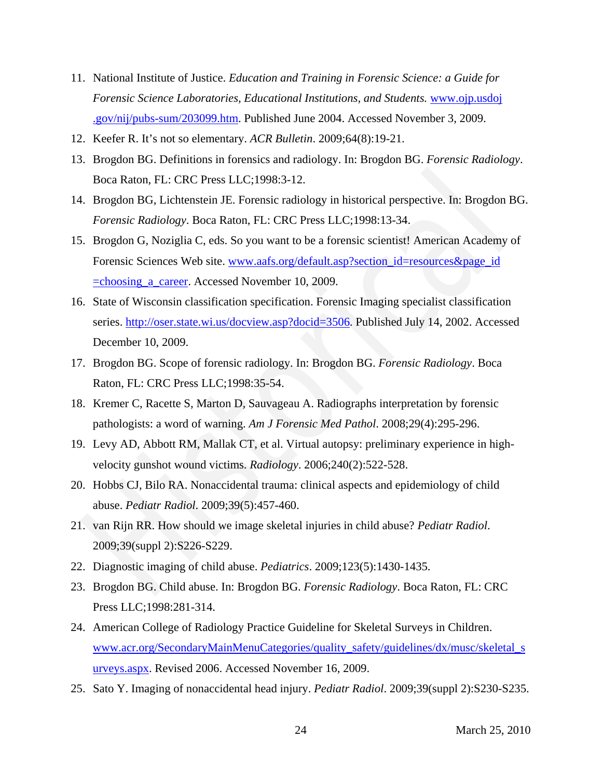- 11. National Institute of Justice. *Education and Training in Forensic Science: a Guide for Forensic Science Laboratories, Educational Institutions, and Students.* www.ojp.usdoj .gov/nij/pubs-sum/203099.htm. Published June 2004. Accessed November 3, 2009.
- 12. Keefer R. It's not so elementary. *ACR Bulletin*. 2009;64(8):19-21.
- 13. Brogdon BG. Definitions in forensics and radiology. In: Brogdon BG. *Forensic Radiology*. Boca Raton, FL: CRC Press LLC;1998:3-12.
- 14. Brogdon BG, Lichtenstein JE. Forensic radiology in historical perspective. In: Brogdon BG. *Forensic Radiology*. Boca Raton, FL: CRC Press LLC;1998:13-34.
- 15. Brogdon G, Noziglia C, eds. So you want to be a forensic scientist! American Academy of Forensic Sciences Web site. www.aafs.org/default.asp?section\_id=resources&page\_id =choosing\_a\_career. Accessed November 10, 2009. Boca Raton, FL: CRC Press LLC; 1998:3-12.<br>
Boca Raton, FL: CRC Press LLC; 1998:3-12.<br>
Brogdon BG, Liehtenstein JE. Forensic radiology in historical perspective. In: Brogdon B<br>
Forensic Radiology. Boca Raton, FL: CRC Press
- 16. State of Wisconsin classification specification. Forensic Imaging specialist classification series. http://oser.state.wi.us/docview.asp?docid=3506. Published July 14, 2002. Accessed December 10, 2009.
- 17. Brogdon BG. Scope of forensic radiology. In: Brogdon BG. *Forensic Radiology*. Boca Raton, FL: CRC Press LLC;1998:35-54.
- 18. Kremer C, Racette S, Marton D, Sauvageau A. Radiographs interpretation by forensic pathologists: a word of warning. *Am J Forensic Med Pathol*. 2008;29(4):295-296.
- 19. Levy AD, Abbott RM, Mallak CT, et al. Virtual autopsy: preliminary experience in highvelocity gunshot wound victims. *Radiology*. 2006;240(2):522-528.
- 20. Hobbs CJ, Bilo RA. Nonaccidental trauma: clinical aspects and epidemiology of child abuse. *Pediatr Radiol*. 2009;39(5):457-460.
- 21. van Rijn RR. How should we image skeletal injuries in child abuse? *Pediatr Radiol*. 2009;39(suppl 2):S226-S229.
- 22. Diagnostic imaging of child abuse. *Pediatrics*. 2009;123(5):1430-1435.
- 23. Brogdon BG. Child abuse. In: Brogdon BG. *Forensic Radiology*. Boca Raton, FL: CRC Press LLC;1998:281-314.
- 24. American College of Radiology Practice Guideline for Skeletal Surveys in Children. www.acr.org/SecondaryMainMenuCategories/quality\_safety/guidelines/dx/musc/skeletal\_s urveys.aspx. Revised 2006. Accessed November 16, 2009.
- 25. Sato Y. Imaging of nonaccidental head injury. *Pediatr Radiol*. 2009;39(suppl 2):S230-S235.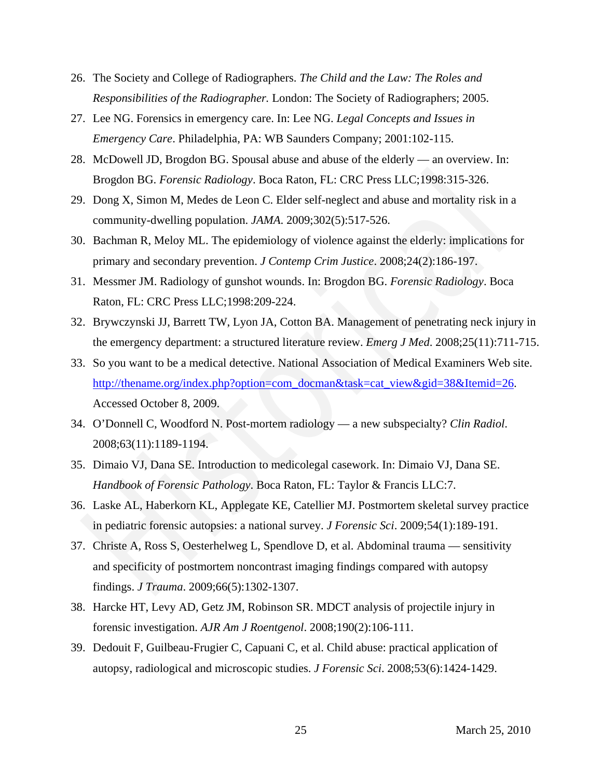- 26. The Society and College of Radiographers. *The Child and the Law: The Roles and Responsibilities of the Radiographer.* London: The Society of Radiographers; 2005.
- 27. Lee NG. Forensics in emergency care. In: Lee NG. *Legal Concepts and Issues in Emergency Care*. Philadelphia, PA: WB Saunders Company; 2001:102-115.
- 28. McDowell JD, Brogdon BG. Spousal abuse and abuse of the elderly an overview. In: Brogdon BG. *Forensic Radiology*. Boca Raton, FL: CRC Press LLC;1998:315-326.
- 29. Dong X, Simon M, Medes de Leon C. Elder self-neglect and abuse and mortality risk in a community-dwelling population. *JAMA*. 2009;302(5):517-526.
- 30. Bachman R, Meloy ML. The epidemiology of violence against the elderly: implications for primary and secondary prevention. *J Contemp Crim Justice*. 2008;24(2):186-197.
- 31. Messmer JM. Radiology of gunshot wounds. In: Brogdon BG. *Forensic Radiology*. Boca Raton, FL: CRC Press LLC;1998:209-224.
- 32. Brywczynski JJ, Barrett TW, Lyon JA, Cotton BA. Management of penetrating neck injury in the emergency department: a structured literature review. *Emerg J Med*. 2008;25(11):711-715.
- 33. So you want to be a medical detective. National Association of Medical Examiners Web site. http://thename.org/index.php?option=com\_docman&task=cat\_view&gid=38&Itemid=26. Accessed October 8, 2009. **Example 10**<br>
Historical BG, *Forensic Radiology*. Boca Raton, FL: CRC Press LLC;1998:315-326.<br>
Dong X, Simon M, Medes de Leon C. Elder self-neglect and abuse and mortality risk in a<br>
community-dwelling population. *JAMA*.
- 34. O'Donnell C, Woodford N. Post-mortem radiology a new subspecialty? *Clin Radiol*. 2008;63(11):1189-1194.
- 35. Dimaio VJ, Dana SE. Introduction to medicolegal casework. In: Dimaio VJ, Dana SE. *Handbook of Forensic Pathology*. Boca Raton, FL: Taylor & Francis LLC:7.
- 36. Laske AL, Haberkorn KL, Applegate KE, Catellier MJ. Postmortem skeletal survey practice in pediatric forensic autopsies: a national survey. *J Forensic Sci*. 2009;54(1):189-191.
- 37. Christe A, Ross S, Oesterhelweg L, Spendlove D, et al. Abdominal trauma sensitivity and specificity of postmortem noncontrast imaging findings compared with autopsy findings. *J Trauma*. 2009;66(5):1302-1307.
- 38. Harcke HT, Levy AD, Getz JM, Robinson SR. MDCT analysis of projectile injury in forensic investigation. *AJR Am J Roentgenol*. 2008;190(2):106-111.
- 39. Dedouit F, Guilbeau-Frugier C, Capuani C, et al. Child abuse: practical application of autopsy, radiological and microscopic studies. *J Forensic Sci*. 2008;53(6):1424-1429.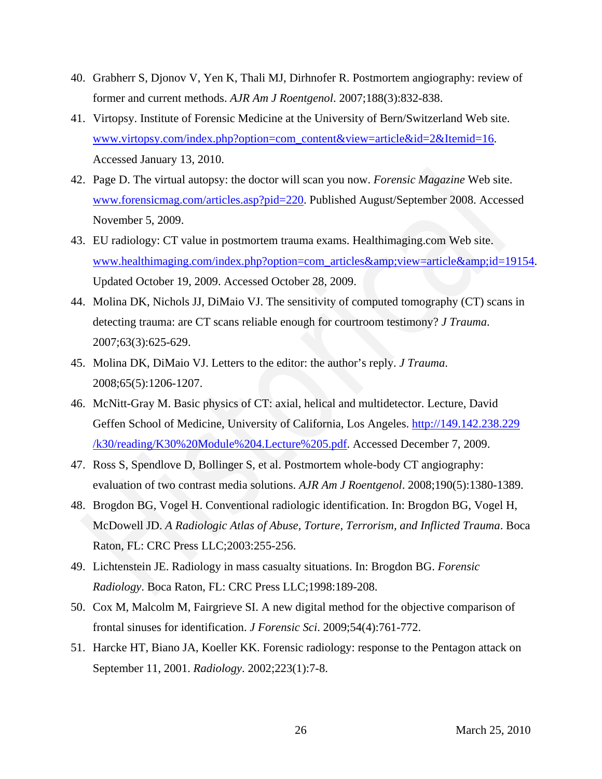- 40. Grabherr S, Djonov V, Yen K, Thali MJ, Dirhnofer R. Postmortem angiography: review of former and current methods. *AJR Am J Roentgenol*. 2007;188(3):832-838.
- 41. Virtopsy. Institute of Forensic Medicine at the University of Bern/Switzerland Web site. www.virtopsy.com/index.php?option=com\_content&view=article&id=2&Itemid=16. Accessed January 13, 2010.
- 42. Page D. The virtual autopsy: the doctor will scan you now. *Forensic Magazine* Web site. www.forensicmag.com/articles.asp?pid=220. Published August/September 2008. Accessed November 5, 2009.
- 43. EU radiology: CT value in postmortem trauma exams. Healthimaging.com Web site. www.healthimaging.com/index.php?option=com\_articles&view=article&id=19154. Updated October 19, 2009. Accessed October 28, 2009. 1. Page D. The virtual autopsy: the doctor will scan you now. Forensic Magazine Web site.<br>
www.forensicmag.com/articles.asp?pid=220. Published August/September 2008. Accesse<br>
November 5, 2009.<br>
EU radiology: CT value in p
- 44. Molina DK, Nichols JJ, DiMaio VJ. The sensitivity of computed tomography (CT) scans in detecting trauma: are CT scans reliable enough for courtroom testimony? *J Trauma*. 2007;63(3):625-629.
- 45. Molina DK, DiMaio VJ. Letters to the editor: the author's reply. *J Trauma*. 2008;65(5):1206-1207.
- 46. McNitt-Gray M. Basic physics of CT: axial, helical and multidetector. Lecture, David Geffen School of Medicine, University of California, Los Angeles. http://149.142.238.229 /k30/reading/K30%20Module%204.Lecture%205.pdf. Accessed December 7, 2009.
- 47. Ross S, Spendlove D, Bollinger S, et al. Postmortem whole-body CT angiography: evaluation of two contrast media solutions. *AJR Am J Roentgenol*. 2008;190(5):1380-1389.
- 48. Brogdon BG, Vogel H. Conventional radiologic identification. In: Brogdon BG, Vogel H, McDowell JD. *A Radiologic Atlas of Abuse, Torture, Terrorism, and Inflicted Trauma*. Boca Raton, FL: CRC Press LLC;2003:255-256.
- 49. Lichtenstein JE. Radiology in mass casualty situations. In: Brogdon BG. *Forensic Radiology*. Boca Raton, FL: CRC Press LLC;1998:189-208.
- 50. Cox M, Malcolm M, Fairgrieve SI. A new digital method for the objective comparison of frontal sinuses for identification. *J Forensic Sci*. 2009;54(4):761-772.
- 51. Harcke HT, Biano JA, Koeller KK. Forensic radiology: response to the Pentagon attack on September 11, 2001. *Radiology*. 2002;223(1):7-8.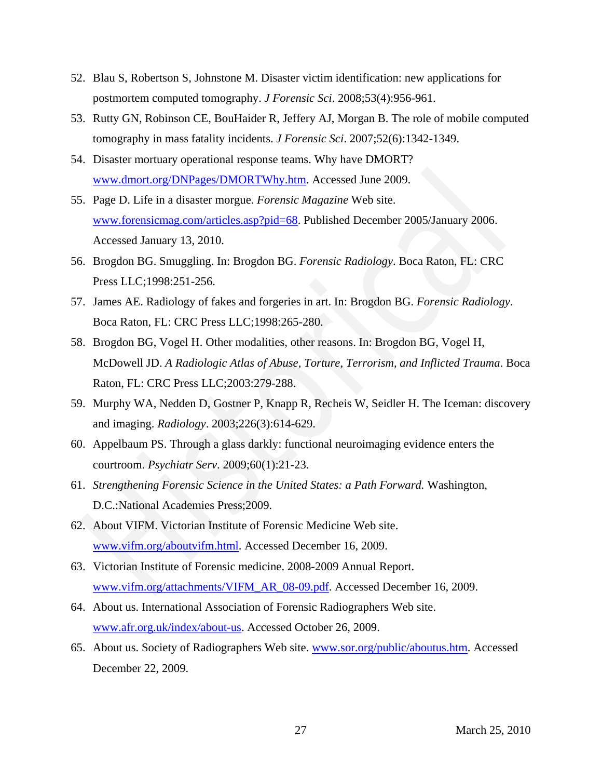- 52. Blau S, Robertson S, Johnstone M. Disaster victim identification: new applications for postmortem computed tomography. *J Forensic Sci*. 2008;53(4):956-961.
- 53. Rutty GN, Robinson CE, BouHaider R, Jeffery AJ, Morgan B. The role of mobile computed tomography in mass fatality incidents. *J Forensic Sci*. 2007;52(6):1342-1349.
- 54. Disaster mortuary operational response teams. Why have DMORT? www.dmort.org/DNPages/DMORTWhy.htm. Accessed June 2009.
- 55. Page D. Life in a disaster morgue. *Forensic Magazine* Web site. www.forensicmag.com/articles.asp?pid=68. Published December 2005/January 2006. Accessed January 13, 2010. www.dmort.org/DNPages/DMORTWhy.htm. Accessed June 2009.<br>
Page D. Life in a disaster morgue. *Forensic Magazine* Web site.<br>
www.forensicmag.com/articles.asp?pid=68. Published December 2005/January 2006.<br>
Accessed January 13
- 56. Brogdon BG. Smuggling. In: Brogdon BG. *Forensic Radiology*. Boca Raton, FL: CRC Press LLC;1998:251-256.
- 57. James AE. Radiology of fakes and forgeries in art. In: Brogdon BG. *Forensic Radiology*. Boca Raton, FL: CRC Press LLC;1998:265-280.
- 58. Brogdon BG, Vogel H. Other modalities, other reasons. In: Brogdon BG, Vogel H, McDowell JD. *A Radiologic Atlas of Abuse, Torture, Terrorism, and Inflicted Trauma*. Boca Raton, FL: CRC Press LLC;2003:279-288.
- 59. Murphy WA, Nedden D, Gostner P, Knapp R, Recheis W, Seidler H. The Iceman: discovery and imaging. *Radiology*. 2003;226(3):614-629.
- 60. Appelbaum PS. Through a glass darkly: functional neuroimaging evidence enters the courtroom. *Psychiatr Serv*. 2009;60(1):21-23.
- 61. *Strengthening Forensic Science in the United States: a Path Forward.* Washington, D.C.:National Academies Press;2009.
- 62. About VIFM. Victorian Institute of Forensic Medicine Web site. www.vifm.org/aboutvifm.html. Accessed December 16, 2009.
- 63. Victorian Institute of Forensic medicine. 2008-2009 Annual Report. www.vifm.org/attachments/VIFM\_AR\_08-09.pdf. Accessed December 16, 2009.
- 64. About us. International Association of Forensic Radiographers Web site. www.afr.org.uk/index/about-us. Accessed October 26, 2009.
- 65. About us. Society of Radiographers Web site. www.sor.org/public/aboutus.htm. Accessed December 22, 2009.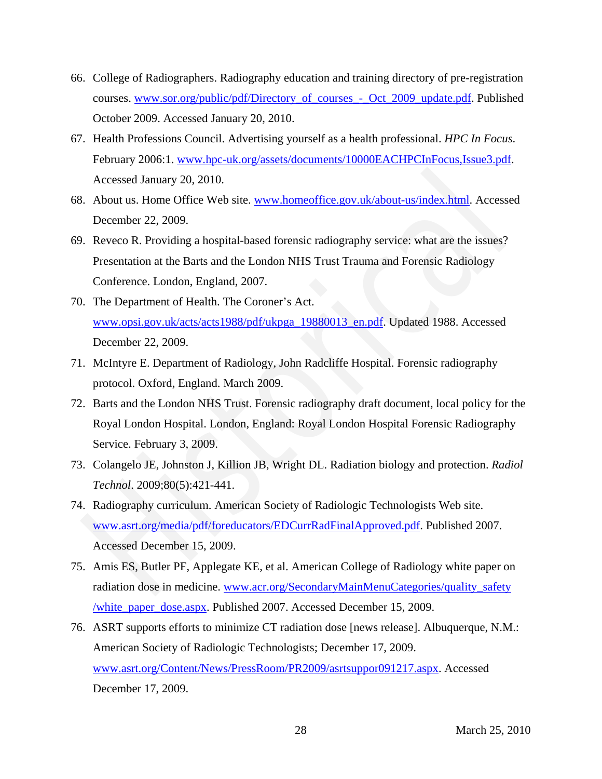- 66. College of Radiographers. Radiography education and training directory of pre-registration courses. www.sor.org/public/pdf/Directory\_of\_courses\_-\_Oct\_2009\_update.pdf. Published October 2009. Accessed January 20, 2010.
- 67. Health Professions Council. Advertising yourself as a health professional. *HPC In Focus*. February 2006:1. www.hpc-uk.org/assets/documents/10000EACHPCInFocus,Issue3.pdf. Accessed January 20, 2010.
- 68. About us. Home Office Web site. www.homeoffice.gov.uk/about-us/index.html. Accessed December 22, 2009.
- 69. Reveco R. Providing a hospital-based forensic radiography service: what are the issues? Presentation at the Barts and the London NHS Trust Trauma and Forensic Radiology Conference. London, England, 2007.
- 70. The Department of Health. The Coroner's Act. www.opsi.gov.uk/acts/acts1988/pdf/ukpga\_19880013\_en.pdf. Updated 1988. Accessed December 22, 2009.
- 71. McIntyre E. Department of Radiology, John Radcliffe Hospital. Forensic radiography protocol. Oxford, England. March 2009.
- 72. Barts and the London NHS Trust. Forensic radiography draft document, local policy for the Royal London Hospital. London, England: Royal London Hospital Forensic Radiography Service. February 3, 2009.
- 73. Colangelo JE, Johnston J, Killion JB, Wright DL. Radiation biology and protection. *Radiol Technol*. 2009;80(5):421-441.
- 74. Radiography curriculum. American Society of Radiologic Technologists Web site. www.asrt.org/media/pdf/foreducators/EDCurrRadFinalApproved.pdf. Published 2007. Accessed December 15, 2009. Accessed January 20, 2010.<br>
Accessed January 20, 2010.<br>
Accessed January 20, 2010.<br>
About us. Home Office Web site. www.homeoffice.gov.uk/about-us/index.html. Accesse<br>
December 22, 2009.<br>
Reveco R. Providing a hospital-bas
- 75. Amis ES, Butler PF, Applegate KE, et al. American College of Radiology white paper on radiation dose in medicine. www.acr.org/SecondaryMainMenuCategories/quality\_safety /white\_paper\_dose.aspx. Published 2007. Accessed December 15, 2009.
- 76. ASRT supports efforts to minimize CT radiation dose [news release]. Albuquerque, N.M.: American Society of Radiologic Technologists; December 17, 2009. www.asrt.org/Content/News/PressRoom/PR2009/asrtsuppor091217.aspx. Accessed December 17, 2009.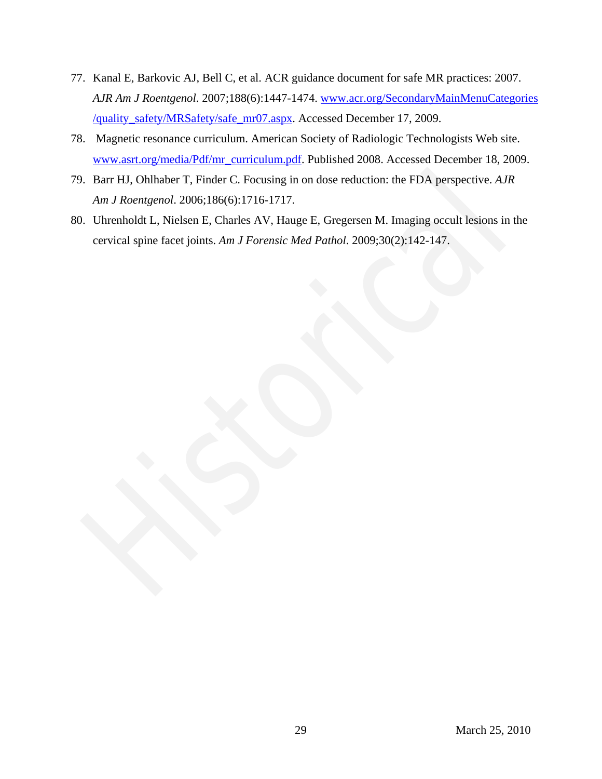- 77. Kanal E, Barkovic AJ, Bell C, et al. ACR guidance document for safe MR practices: 2007. *AJR Am J Roentgenol*. 2007;188(6):1447-1474. www.acr.org/SecondaryMainMenuCategories /quality\_safety/MRSafety/safe\_mr07.aspx. Accessed December 17, 2009.
- 78. Magnetic resonance curriculum. American Society of Radiologic Technologists Web site. www.asrt.org/media/Pdf/mr\_curriculum.pdf. Published 2008. Accessed December 18, 2009.
- 79. Barr HJ, Ohlhaber T, Finder C. Focusing in on dose reduction: the FDA perspective. *AJR Am J Roentgenol*. 2006;186(6):1716-1717. Rant HJ, Oblhaber T, Finder C. Focusing in on dose reduction: the FDA perspective. AIR Am J Roemgenol. 2006;186(6):1716-1717.<br>
Uhrenholdt L, Nielsen E, Charles AV, Hauge E, Gregersen M. Imaging occult lesions in cervical s
- 80. Uhrenholdt L, Nielsen E, Charles AV, Hauge E, Gregersen M. Imaging occult lesions in the cervical spine facet joints. *Am J Forensic Med Pathol*. 2009;30(2):142-147.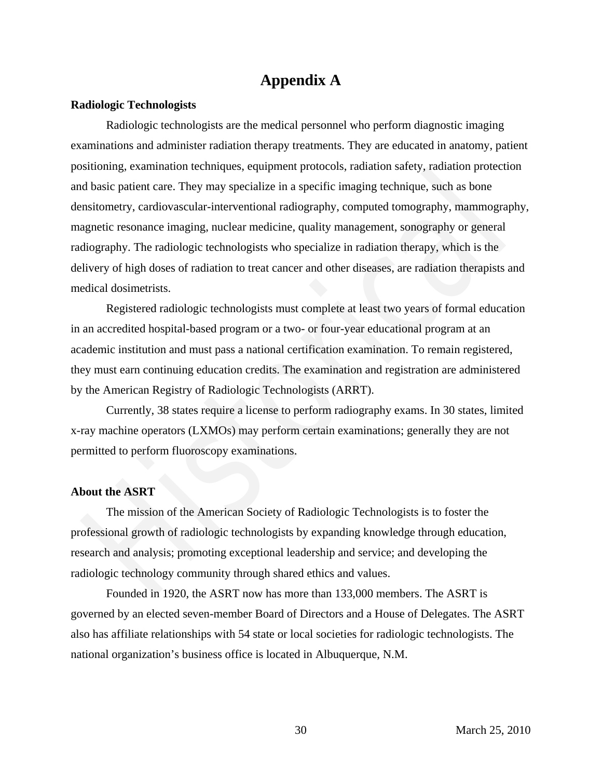# **Appendix A**

# **Radiologic Technologists**

Radiologic technologists are the medical personnel who perform diagnostic imaging examinations and administer radiation therapy treatments. They are educated in anatomy, patient positioning, examination techniques, equipment protocols, radiation safety, radiation protection and basic patient care. They may specialize in a specific imaging technique, such as bone densitometry, cardiovascular-interventional radiography, computed tomography, mammography, magnetic resonance imaging, nuclear medicine, quality management, sonography or general radiography. The radiologic technologists who specialize in radiation therapy, which is the delivery of high doses of radiation to treat cancer and other diseases, are radiation therapists and medical dosimetrists. sitioning, examination techniques, equipment protocols, radiation safety, radiation protection<br>
al basic patient care. They may specialize in a specific imaging technique, such as bone<br>
mensionenty, cardiovascular-interven

Registered radiologic technologists must complete at least two years of formal education in an accredited hospital-based program or a two- or four-year educational program at an academic institution and must pass a national certification examination. To remain registered, they must earn continuing education credits. The examination and registration are administered by the American Registry of Radiologic Technologists (ARRT).

Currently, 38 states require a license to perform radiography exams. In 30 states, limited x-ray machine operators (LXMOs) may perform certain examinations; generally they are not permitted to perform fluoroscopy examinations.

# **About the ASRT**

The mission of the American Society of Radiologic Technologists is to foster the professional growth of radiologic technologists by expanding knowledge through education, research and analysis; promoting exceptional leadership and service; and developing the radiologic technology community through shared ethics and values.

Founded in 1920, the ASRT now has more than 133,000 members. The ASRT is governed by an elected seven-member Board of Directors and a House of Delegates. The ASRT also has affiliate relationships with 54 state or local societies for radiologic technologists. The national organization's business office is located in Albuquerque, N.M.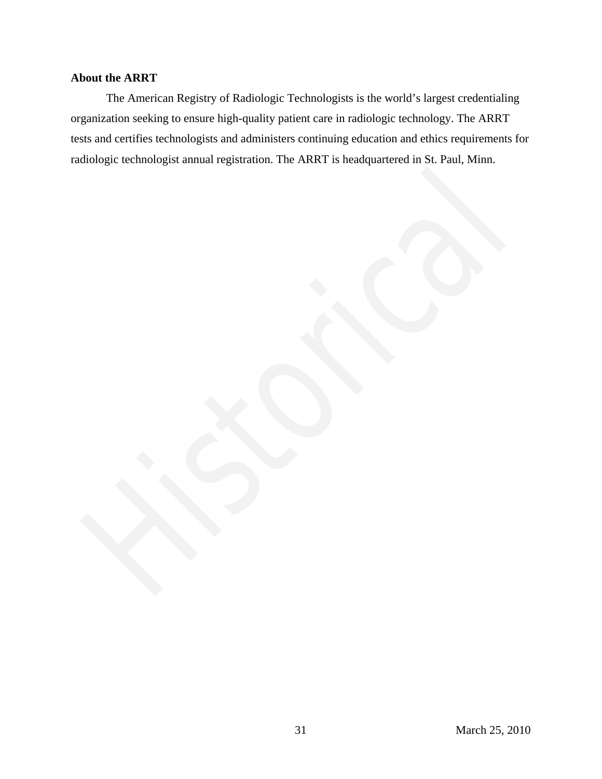# **About the ARRT**

The American Registry of Radiologic Technologists is the world's largest credentialing organization seeking to ensure high-quality patient care in radiologic technology. The ARRT tests and certifies technologists and administers continuing education and ethics requirements for radiologic technologist annual registration. The ARRT is headquartered in St. Paul, Minn. **Historical**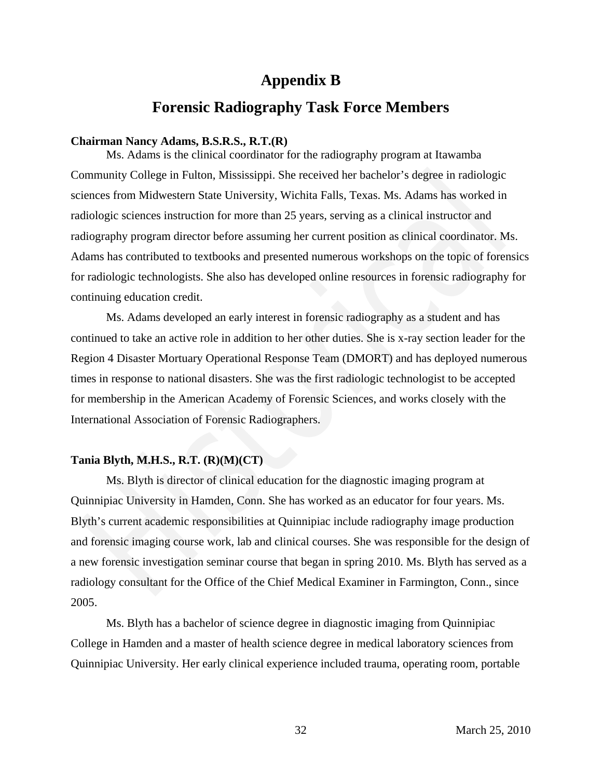# **Appendix B**

# **Forensic Radiography Task Force Members**

# **Chairman Nancy Adams, B.S.R.S., R.T.(R)**

Ms. Adams is the clinical coordinator for the radiography program at Itawamba Community College in Fulton, Mississippi. She received her bachelor's degree in radiologic sciences from Midwestern State University, Wichita Falls, Texas. Ms. Adams has worked in radiologic sciences instruction for more than 25 years, serving as a clinical instructor and radiography program director before assuming her current position as clinical coordinator. Ms. Adams has contributed to textbooks and presented numerous workshops on the topic of forensics for radiologic technologists. She also has developed online resources in forensic radiography for continuing education credit. mmunity College in Fulton, Mississippi. She received her bachelor's degree in radiologic<br>iences from Midwestern State University, Wichita Falls, Texas. Ms. Adams has worked in<br>diologic sciences instruction for more than 25

Ms. Adams developed an early interest in forensic radiography as a student and has continued to take an active role in addition to her other duties. She is x-ray section leader for the Region 4 Disaster Mortuary Operational Response Team (DMORT) and has deployed numerous times in response to national disasters. She was the first radiologic technologist to be accepted for membership in the American Academy of Forensic Sciences, and works closely with the International Association of Forensic Radiographers.

### **Tania Blyth, M.H.S., R.T. (R)(M)(CT)**

Ms. Blyth is director of clinical education for the diagnostic imaging program at Quinnipiac University in Hamden, Conn. She has worked as an educator for four years. Ms. Blyth's current academic responsibilities at Quinnipiac include radiography image production and forensic imaging course work, lab and clinical courses. She was responsible for the design of a new forensic investigation seminar course that began in spring 2010. Ms. Blyth has served as a radiology consultant for the Office of the Chief Medical Examiner in Farmington, Conn., since 2005.

Ms. Blyth has a bachelor of science degree in diagnostic imaging from Quinnipiac College in Hamden and a master of health science degree in medical laboratory sciences from Quinnipiac University. Her early clinical experience included trauma, operating room, portable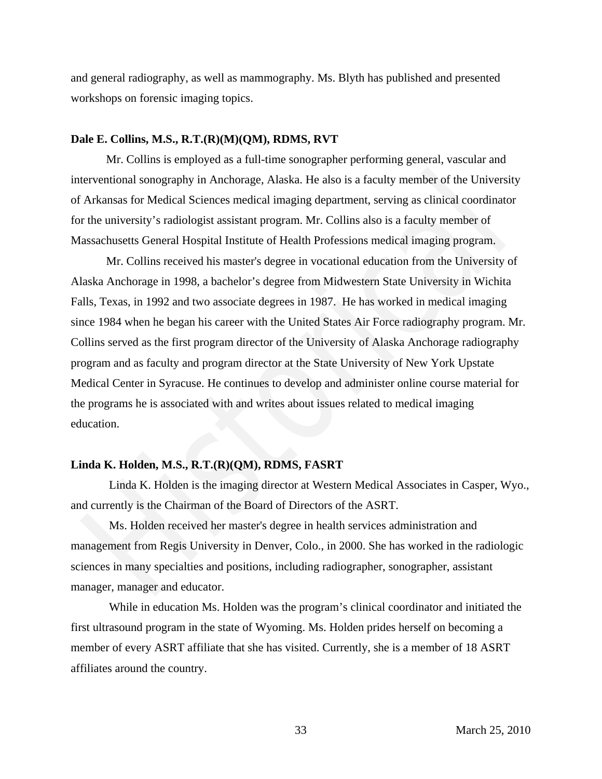and general radiography, as well as mammography. Ms. Blyth has published and presented workshops on forensic imaging topics.

### **Dale E. Collins, M.S., R.T.(R)(M)(QM), RDMS, RVT**

Mr. Collins is employed as a full-time sonographer performing general, vascular and interventional sonography in Anchorage, Alaska. He also is a faculty member of the University of Arkansas for Medical Sciences medical imaging department, serving as clinical coordinator for the university's radiologist assistant program. Mr. Collins also is a faculty member of Massachusetts General Hospital Institute of Health Professions medical imaging program.

Mr. Collins received his master's degree in vocational education from the University of Alaska Anchorage in 1998, a bachelor's degree from Midwestern State University in Wichita Falls, Texas, in 1992 and two associate degrees in 1987. He has worked in medical imaging since 1984 when he began his career with the United States Air Force radiography program. Mr. Collins served as the first program director of the University of Alaska Anchorage radiography program and as faculty and program director at the State University of New York Upstate Medical Center in Syracuse. He continues to develop and administer online course material for the programs he is associated with and writes about issues related to medical imaging education. entertional sonography in Anchorage, Alaska. He also is a faculty member of the University arknassa for Medical Sciences medical imaging department, serving as clinical coordinator<br>
the university's radiologist assistant p

# **Linda K. Holden, M.S., R.T.(R)(QM), RDMS, FASRT**

 Linda K. Holden is the imaging director at Western Medical Associates in Casper, Wyo., and currently is the Chairman of the Board of Directors of the ASRT.

 Ms. Holden received her master's degree in health services administration and management from Regis University in Denver, Colo., in 2000. She has worked in the radiologic sciences in many specialties and positions, including radiographer, sonographer, assistant manager, manager and educator.

 While in education Ms. Holden was the program's clinical coordinator and initiated the first ultrasound program in the state of Wyoming. Ms. Holden prides herself on becoming a member of every ASRT affiliate that she has visited. Currently, she is a member of 18 ASRT affiliates around the country.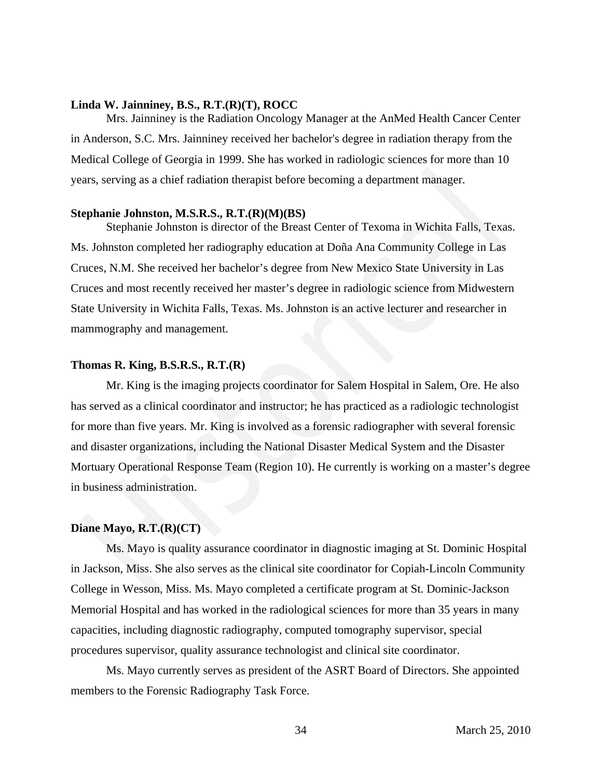# **Linda W. Jainniney, B.S., R.T.(R)(T), ROCC**

Mrs. Jainniney is the Radiation Oncology Manager at the AnMed Health Cancer Center in Anderson, S.C. Mrs. Jainniney received her bachelor's degree in radiation therapy from the Medical College of Georgia in 1999. She has worked in radiologic sciences for more than 10 years, serving as a chief radiation therapist before becoming a department manager.

### **Stephanie Johnston, M.S.R.S., R.T.(R)(M)(BS)**

Stephanie Johnston is director of the Breast Center of Texoma in Wichita Falls, Texas. Ms. Johnston completed her radiography education at Doña Ana Community College in Las Cruces, N.M. She received her bachelor's degree from New Mexico State University in Las Cruces and most recently received her master's degree in radiologic science from Midwestern State University in Wichita Falls, Texas. Ms. Johnston is an active lecturer and researcher in mammography and management.

### **Thomas R. King, B.S.R.S., R.T.(R)**

Mr. King is the imaging projects coordinator for Salem Hospital in Salem, Ore. He also has served as a clinical coordinator and instructor; he has practiced as a radiologic technologist for more than five years. Mr. King is involved as a forensic radiographer with several forensic and disaster organizations, including the National Disaster Medical System and the Disaster Mortuary Operational Response Team (Region 10). He currently is working on a master's degree in business administration. Example 2011 and Margarettical Service Becoming a department manager.<br>
The serving as a chief radiation therapist before becoming a department manager.<br>
The Serving as a chief radiation therapist before becoming a departme

# **Diane Mayo, R.T.(R)(CT)**

Ms. Mayo is quality assurance coordinator in diagnostic imaging at St. Dominic Hospital in Jackson, Miss. She also serves as the clinical site coordinator for Copiah-Lincoln Community College in Wesson, Miss. Ms. Mayo completed a certificate program at St. Dominic-Jackson Memorial Hospital and has worked in the radiological sciences for more than 35 years in many capacities, including diagnostic radiography, computed tomography supervisor, special procedures supervisor, quality assurance technologist and clinical site coordinator.

Ms. Mayo currently serves as president of the ASRT Board of Directors. She appointed members to the Forensic Radiography Task Force.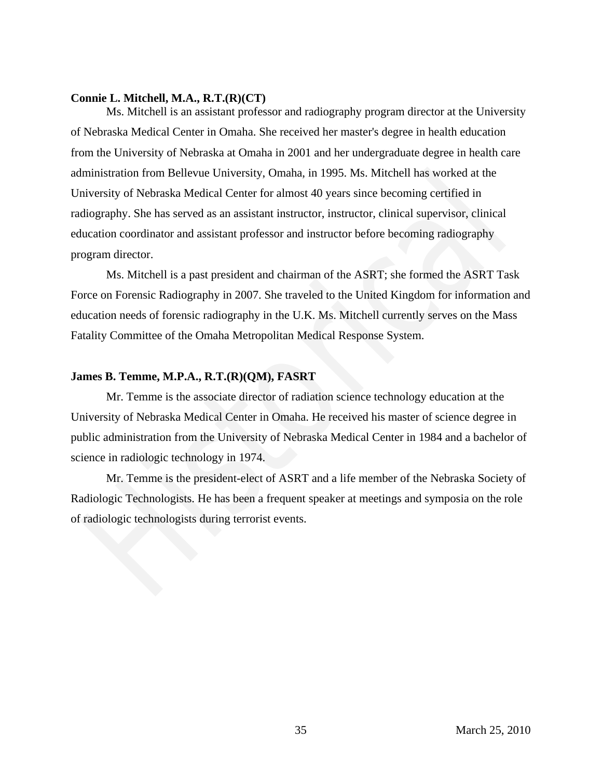# **Connie L. Mitchell, M.A., R.T.(R)(CT)**

Ms. Mitchell is an assistant professor and radiography program director at the University of Nebraska Medical Center in Omaha. She received her master's degree in health education from the University of Nebraska at Omaha in 2001 and her undergraduate degree in health care administration from Bellevue University, Omaha, in 1995. Ms. Mitchell has worked at the University of Nebraska Medical Center for almost 40 years since becoming certified in radiography. She has served as an assistant instructor, instructor, clinical supervisor, clinical education coordinator and assistant professor and instructor before becoming radiography program director. ministration from Bellevue University, Omaha, in 1995. Ms. Mitchell has worked at the<br>uiversity of Nebraska Medical Center for almost 40 years since becoming certified in<br>diography. She has served as an assistant instructo

Ms. Mitchell is a past president and chairman of the ASRT; she formed the ASRT Task Force on Forensic Radiography in 2007. She traveled to the United Kingdom for information and education needs of forensic radiography in the U.K. Ms. Mitchell currently serves on the Mass Fatality Committee of the Omaha Metropolitan Medical Response System.

# **James B. Temme, M.P.A., R.T.(R)(QM), FASRT**

Mr. Temme is the associate director of radiation science technology education at the University of Nebraska Medical Center in Omaha. He received his master of science degree in public administration from the University of Nebraska Medical Center in 1984 and a bachelor of science in radiologic technology in 1974.

Mr. Temme is the president-elect of ASRT and a life member of the Nebraska Society of Radiologic Technologists. He has been a frequent speaker at meetings and symposia on the role of radiologic technologists during terrorist events.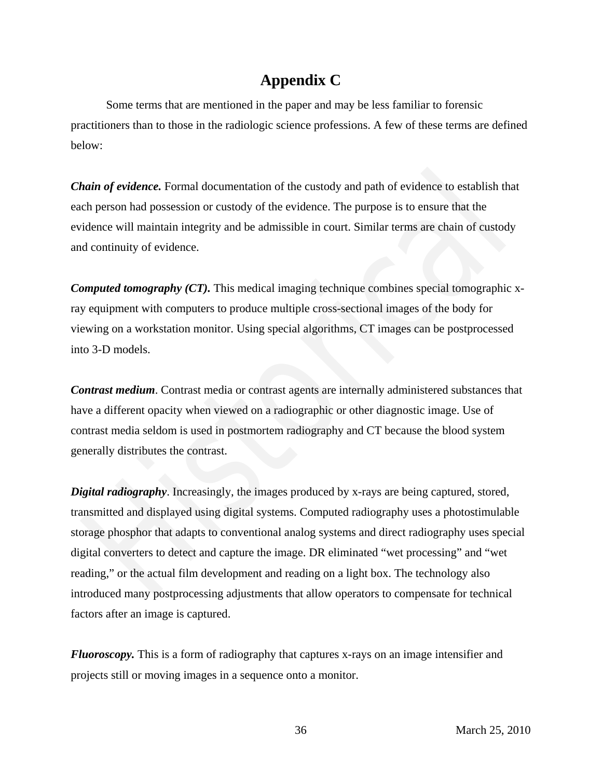# **Appendix C**

Some terms that are mentioned in the paper and may be less familiar to forensic practitioners than to those in the radiologic science professions. A few of these terms are defined below:

*Chain of evidence.* Formal documentation of the custody and path of evidence to establish that each person had possession or custody of the evidence. The purpose is to ensure that the evidence will maintain integrity and be admissible in court. Similar terms are chain of custody and continuity of evidence.

*Computed tomography (CT).* This medical imaging technique combines special tomographic xray equipment with computers to produce multiple cross-sectional images of the body for viewing on a workstation monitor. Using special algorithms, CT images can be postprocessed into 3-D models.

*Contrast medium*. Contrast media or contrast agents are internally administered substances that have a different opacity when viewed on a radiographic or other diagnostic image. Use of contrast media seldom is used in postmortem radiography and CT because the blood system generally distributes the contrast.

*Digital radiography*. Increasingly, the images produced by x-rays are being captured, stored, transmitted and displayed using digital systems. Computed radiography uses a photostimulable storage phosphor that adapts to conventional analog systems and direct radiography uses special digital converters to detect and capture the image. DR eliminated "wet processing" and "wet reading," or the actual film development and reading on a light box. The technology also introduced many postprocessing adjustments that allow operators to compensate for technical factors after an image is captured. **acin of evidence.** Formal documentation of the custody and path of evidence to establish that<br>the person had possession or custody of the evidence. The purpose is to ensure that the<br>dience will maintain integrity and be a

*Fluoroscopy.* This is a form of radiography that captures x-rays on an image intensifier and projects still or moving images in a sequence onto a monitor.